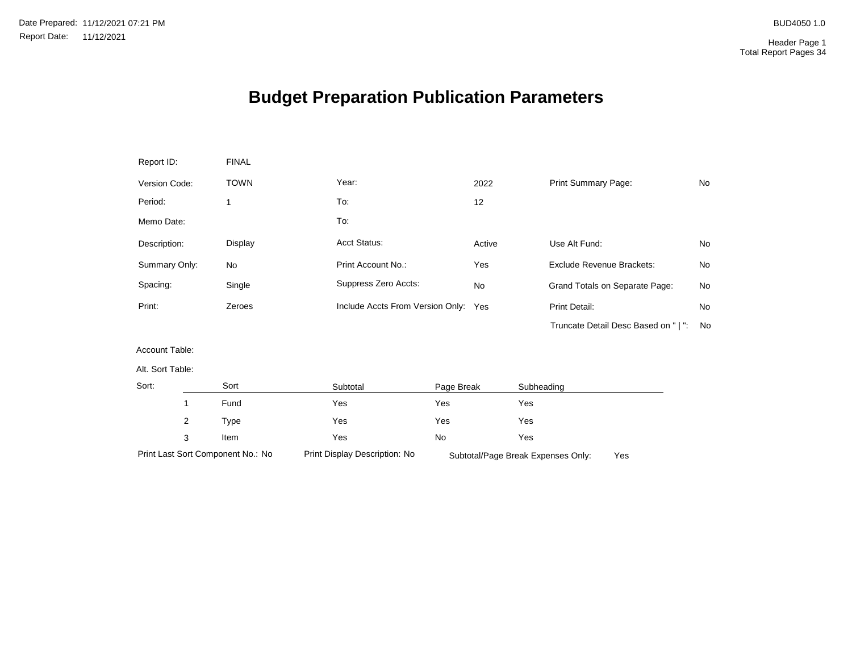# **Budget Preparation Publication Parameters**

| Report ID:       |   | <b>FINAL</b>                      |                                      |            |        |            |                                           |    |
|------------------|---|-----------------------------------|--------------------------------------|------------|--------|------------|-------------------------------------------|----|
| Version Code:    |   | <b>TOWN</b>                       | Year:                                |            | 2022   |            | Print Summary Page:                       | No |
| Period:          |   | 1                                 | To:                                  |            | 12     |            |                                           |    |
| Memo Date:       |   |                                   | To:                                  |            |        |            |                                           |    |
| Description:     |   | Display                           | Acct Status:                         |            | Active |            | Use Alt Fund:                             | No |
| Summary Only:    |   | <b>No</b>                         | Print Account No.:                   |            | Yes    |            | Exclude Revenue Brackets:                 | No |
| Spacing:         |   | Single                            | Suppress Zero Accts:                 |            | No     |            | Grand Totals on Separate Page:            | No |
| Print:           |   | Zeroes                            | Include Accts From Version Only: Yes |            |        |            | Print Detail:                             | No |
|                  |   |                                   |                                      |            |        |            | Truncate Detail Desc Based on "   ":      | No |
| Account Table:   |   |                                   |                                      |            |        |            |                                           |    |
| Alt. Sort Table: |   |                                   |                                      |            |        |            |                                           |    |
| Sort:            |   | Sort                              | Subtotal                             | Page Break |        | Subheading |                                           |    |
|                  | 1 | Fund                              | Yes                                  | Yes        |        | Yes        |                                           |    |
|                  | 2 | Type                              | Yes                                  | Yes        |        | Yes        |                                           |    |
|                  | 3 | Item                              | Yes                                  | No         |        | Yes        |                                           |    |
|                  |   | Print Last Sort Component No.: No | Print Display Description: No        |            |        |            | Subtotal/Page Break Expenses Only:<br>Yes |    |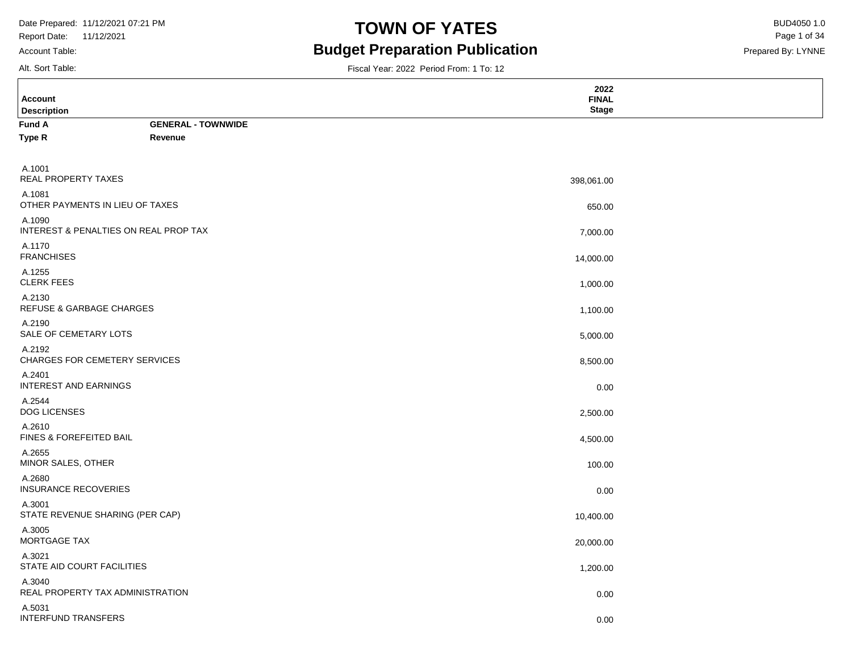Report Date: 11/12/2021 Account Table:

### **TOWN OF YATES** BUD4050 1.0 **Budget Preparation Publication**

Fiscal Year: 2022 Period From: 1 To: 12

Prepared By: LYNNE Page 1 of 34

Alt. Sort Table:

| <b>Account</b><br><b>Description</b>            |                           | 2022<br><b>FINAL</b><br><b>Stage</b> |  |
|-------------------------------------------------|---------------------------|--------------------------------------|--|
| <b>Fund A</b>                                   | <b>GENERAL - TOWNWIDE</b> |                                      |  |
| Type R                                          | Revenue                   |                                      |  |
|                                                 |                           |                                      |  |
| A.1001<br>REAL PROPERTY TAXES                   |                           | 398,061.00                           |  |
| A.1081<br>OTHER PAYMENTS IN LIEU OF TAXES       |                           | 650.00                               |  |
| A.1090<br>INTEREST & PENALTIES ON REAL PROP TAX |                           | 7,000.00                             |  |
| A.1170<br><b>FRANCHISES</b>                     |                           | 14,000.00                            |  |
| A.1255<br><b>CLERK FEES</b>                     |                           | 1,000.00                             |  |
| A.2130<br><b>REFUSE &amp; GARBAGE CHARGES</b>   |                           | 1,100.00                             |  |
| A.2190<br>SALE OF CEMETARY LOTS                 |                           | 5,000.00                             |  |
| A.2192<br><b>CHARGES FOR CEMETERY SERVICES</b>  |                           | 8,500.00                             |  |
| A.2401<br>INTEREST AND EARNINGS                 |                           | 0.00                                 |  |
| A.2544<br><b>DOG LICENSES</b>                   |                           | 2,500.00                             |  |
| A.2610<br>FINES & FOREFEITED BAIL               |                           | 4,500.00                             |  |
| A.2655<br>MINOR SALES, OTHER                    |                           | 100.00                               |  |
| A.2680<br><b>INSURANCE RECOVERIES</b>           |                           | 0.00                                 |  |
| A.3001<br>STATE REVENUE SHARING (PER CAP)       |                           | 10,400.00                            |  |
| A.3005<br>MORTGAGE TAX                          |                           | 20,000.00                            |  |
| A.3021<br>STATE AID COURT FACILITIES            |                           | 1,200.00                             |  |
| A.3040<br>REAL PROPERTY TAX ADMINISTRATION      |                           | 0.00                                 |  |
| A.5031<br><b>INTERFUND TRANSFERS</b>            |                           | 0.00                                 |  |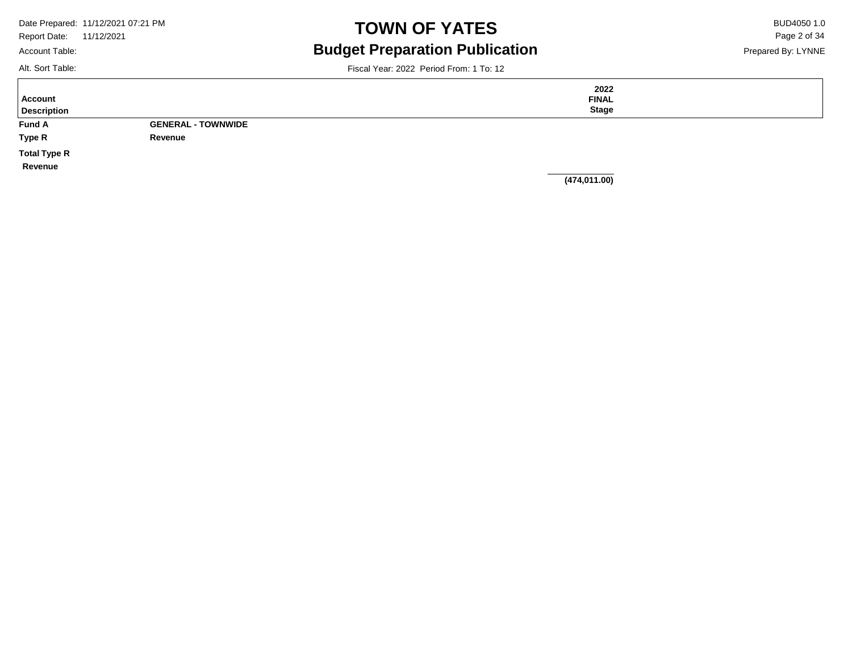Account Table:

# **TOWN OF YATES** BUD4050 1.0 **Budget Preparation Publication**

Prepared By: LYNNE Page 2 of 34

Alt. Sort Table:

Fiscal Year: 2022 Period From: 1 To: 12

**Fund A Type R GENERAL - TOWNWIDE Revenue Description Account Total Type R Revenue 2022 FINAL Stage**

**(474,011.00)**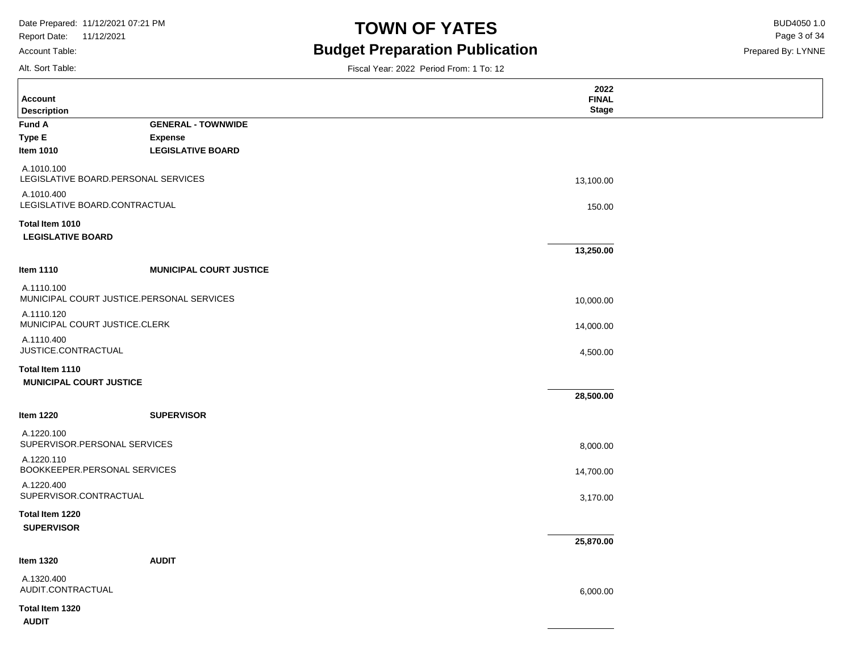Account Table:

Alt. Sort Table:

# **TOWN OF YATES** BUD4050 1.0 **Budget Preparation Publication**

Fiscal Year: 2022 Period From: 1 To: 12

Prepared By: LYNNE Page 3 of 34

|                                                         |                                | 2022<br><b>FINAL</b> |  |
|---------------------------------------------------------|--------------------------------|----------------------|--|
| <b>Account</b><br><b>Description</b>                    |                                | <b>Stage</b>         |  |
| <b>Fund A</b>                                           | <b>GENERAL - TOWNWIDE</b>      |                      |  |
| <b>Type E</b>                                           | <b>Expense</b>                 |                      |  |
| <b>Item 1010</b>                                        | <b>LEGISLATIVE BOARD</b>       |                      |  |
| A.1010.100<br>LEGISLATIVE BOARD.PERSONAL SERVICES       |                                | 13,100.00            |  |
| A.1010.400<br>LEGISLATIVE BOARD.CONTRACTUAL             |                                | 150.00               |  |
| Total Item 1010                                         |                                |                      |  |
| <b>LEGISLATIVE BOARD</b>                                |                                |                      |  |
|                                                         |                                | 13,250.00            |  |
| <b>Item 1110</b>                                        | <b>MUNICIPAL COURT JUSTICE</b> |                      |  |
| A.1110.100<br>MUNICIPAL COURT JUSTICE.PERSONAL SERVICES |                                | 10,000.00            |  |
| A.1110.120<br>MUNICIPAL COURT JUSTICE.CLERK             |                                | 14,000.00            |  |
| A.1110.400<br>JUSTICE.CONTRACTUAL                       |                                | 4,500.00             |  |
| Total Item 1110                                         |                                |                      |  |
| <b>MUNICIPAL COURT JUSTICE</b>                          |                                |                      |  |
|                                                         |                                | 28,500.00            |  |
| <b>Item 1220</b>                                        | <b>SUPERVISOR</b>              |                      |  |
| A.1220.100<br>SUPERVISOR.PERSONAL SERVICES              |                                | 8,000.00             |  |
| A.1220.110<br>BOOKKEEPER.PERSONAL SERVICES              |                                | 14,700.00            |  |
| A.1220.400<br>SUPERVISOR.CONTRACTUAL                    |                                | 3,170.00             |  |
| Total Item 1220<br><b>SUPERVISOR</b>                    |                                |                      |  |
|                                                         |                                | 25,870.00            |  |
| <b>Item 1320</b>                                        | <b>AUDIT</b>                   |                      |  |
| A.1320.400<br>AUDIT.CONTRACTUAL                         |                                | 6,000.00             |  |
| Total Item 1320<br><b>AUDIT</b>                         |                                |                      |  |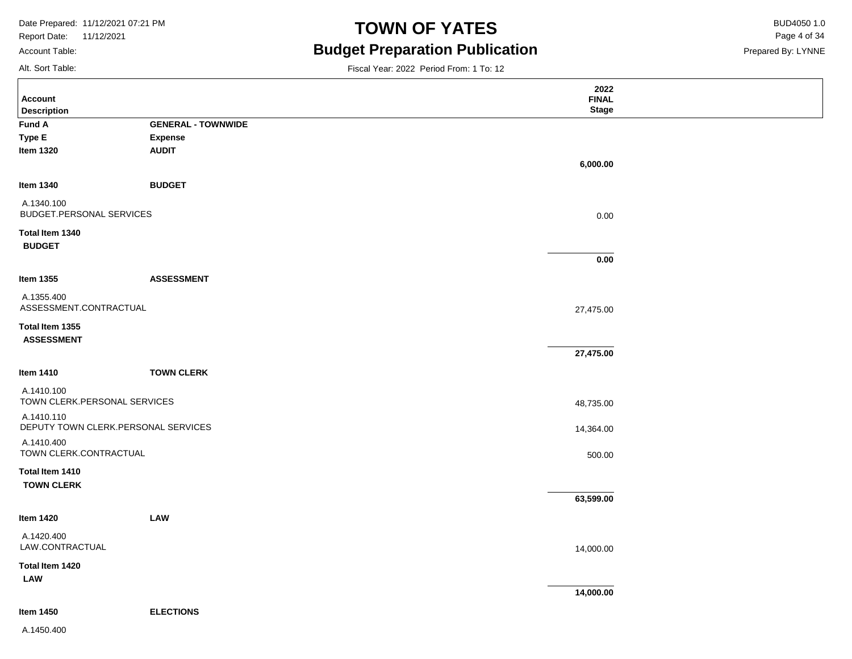Report Date: 11/12/2021 Account Table:

# **TOWN OF YATES** BUD4050 1.0 **Budget Preparation Publication**

Prepared By: LYNNE Page 4 of 34

Alt. Sort Table:

Fiscal Year: 2022 Period From: 1 To: 12

|                                                   |                                | 2022         |  |
|---------------------------------------------------|--------------------------------|--------------|--|
| <b>Account</b>                                    |                                | <b>FINAL</b> |  |
| <b>Description</b>                                |                                | <b>Stage</b> |  |
| Fund A                                            | <b>GENERAL - TOWNWIDE</b>      |              |  |
| Type E                                            | <b>Expense</b><br><b>AUDIT</b> |              |  |
| <b>Item 1320</b>                                  |                                |              |  |
|                                                   |                                | 6,000.00     |  |
| Item 1340                                         | <b>BUDGET</b>                  |              |  |
| A.1340.100<br>BUDGET.PERSONAL SERVICES            |                                | 0.00         |  |
| Total Item 1340                                   |                                |              |  |
| <b>BUDGET</b>                                     |                                |              |  |
|                                                   |                                | 0.00         |  |
|                                                   |                                |              |  |
| Item 1355                                         | <b>ASSESSMENT</b>              |              |  |
| A.1355.400<br>ASSESSMENT.CONTRACTUAL              |                                | 27,475.00    |  |
| Total Item 1355<br><b>ASSESSMENT</b>              |                                |              |  |
|                                                   |                                | 27,475.00    |  |
|                                                   |                                |              |  |
| Item 1410                                         | <b>TOWN CLERK</b>              |              |  |
| A.1410.100<br>TOWN CLERK.PERSONAL SERVICES        |                                | 48,735.00    |  |
| A.1410.110<br>DEPUTY TOWN CLERK.PERSONAL SERVICES |                                | 14,364.00    |  |
| A.1410.400<br>TOWN CLERK.CONTRACTUAL              |                                | 500.00       |  |
| Total Item 1410<br><b>TOWN CLERK</b>              |                                |              |  |
|                                                   |                                | 63,599.00    |  |
| Item 1420                                         | LAW                            |              |  |
| A.1420.400<br>LAW.CONTRACTUAL                     |                                | 14,000.00    |  |
| Total Item 1420<br>LAW                            |                                |              |  |
|                                                   |                                | 14,000.00    |  |
| Item 1450                                         | <b>ELECTIONS</b>               |              |  |
|                                                   |                                |              |  |

A.1450.400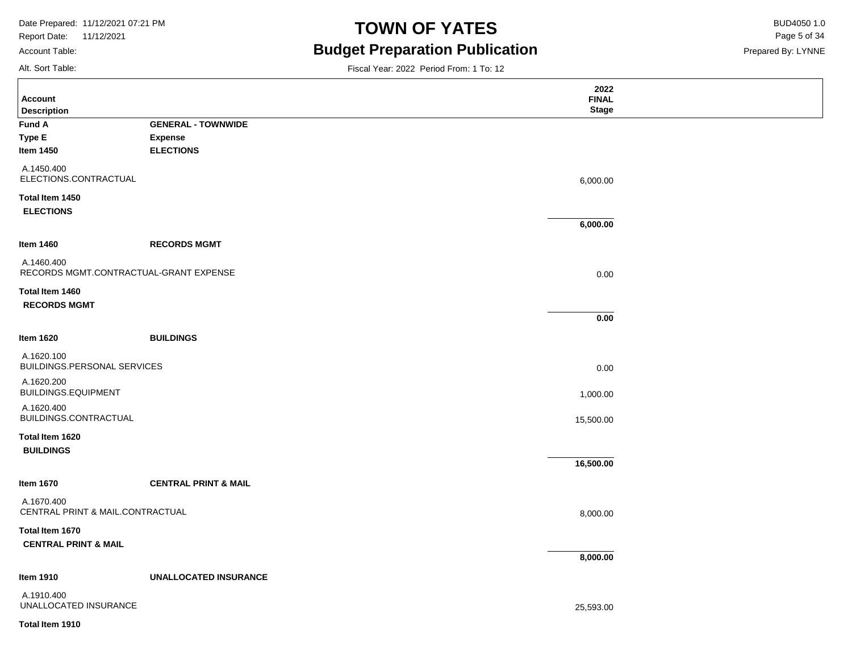Report Date: 11/12/2021 Account Table:

Alt. Sort Table:

# **TOWN OF YATES** BUD4050 1.0 **Budget Preparation Publication**

Prepared By: LYNNE Page 5 of 34

| <b>Account</b><br><b>Description</b>   |                                 | 2022<br><b>FINAL</b><br><b>Stage</b> |  |
|----------------------------------------|---------------------------------|--------------------------------------|--|
| Fund A                                 | <b>GENERAL - TOWNWIDE</b>       |                                      |  |
| Type E                                 | <b>Expense</b>                  |                                      |  |
| <b>Item 1450</b>                       | <b>ELECTIONS</b>                |                                      |  |
|                                        |                                 |                                      |  |
| A.1450.400                             |                                 |                                      |  |
| ELECTIONS.CONTRACTUAL                  |                                 | 6,000.00                             |  |
| Total Item 1450                        |                                 |                                      |  |
| <b>ELECTIONS</b>                       |                                 |                                      |  |
|                                        |                                 | 6,000.00                             |  |
|                                        |                                 |                                      |  |
| Item 1460                              | <b>RECORDS MGMT</b>             |                                      |  |
| A.1460.400                             |                                 |                                      |  |
| RECORDS MGMT.CONTRACTUAL-GRANT EXPENSE |                                 | 0.00                                 |  |
|                                        |                                 |                                      |  |
| Total Item 1460                        |                                 |                                      |  |
| <b>RECORDS MGMT</b>                    |                                 |                                      |  |
|                                        |                                 | 0.00                                 |  |
|                                        |                                 |                                      |  |
| Item 1620                              | <b>BUILDINGS</b>                |                                      |  |
| A.1620.100                             |                                 |                                      |  |
| BUILDINGS.PERSONAL SERVICES            |                                 | 0.00                                 |  |
| A.1620.200                             |                                 |                                      |  |
| BUILDINGS.EQUIPMENT                    |                                 | 1,000.00                             |  |
| A.1620.400                             |                                 |                                      |  |
| BUILDINGS.CONTRACTUAL                  |                                 |                                      |  |
|                                        |                                 | 15,500.00                            |  |
| Total Item 1620                        |                                 |                                      |  |
| <b>BUILDINGS</b>                       |                                 |                                      |  |
|                                        |                                 | 16,500.00                            |  |
|                                        |                                 |                                      |  |
| <b>Item 1670</b>                       | <b>CENTRAL PRINT &amp; MAIL</b> |                                      |  |
| A.1670.400                             |                                 |                                      |  |
| CENTRAL PRINT & MAIL.CONTRACTUAL       |                                 | 8,000.00                             |  |
|                                        |                                 |                                      |  |
| Total Item 1670                        |                                 |                                      |  |
| <b>CENTRAL PRINT &amp; MAIL</b>        |                                 |                                      |  |
|                                        |                                 | 8,000.00                             |  |
| <b>Item 1910</b>                       | <b>UNALLOCATED INSURANCE</b>    |                                      |  |
|                                        |                                 |                                      |  |
| A.1910.400<br>UNALLOCATED INSURANCE    |                                 |                                      |  |
|                                        |                                 | 25,593.00                            |  |
| Total Item 1910                        |                                 |                                      |  |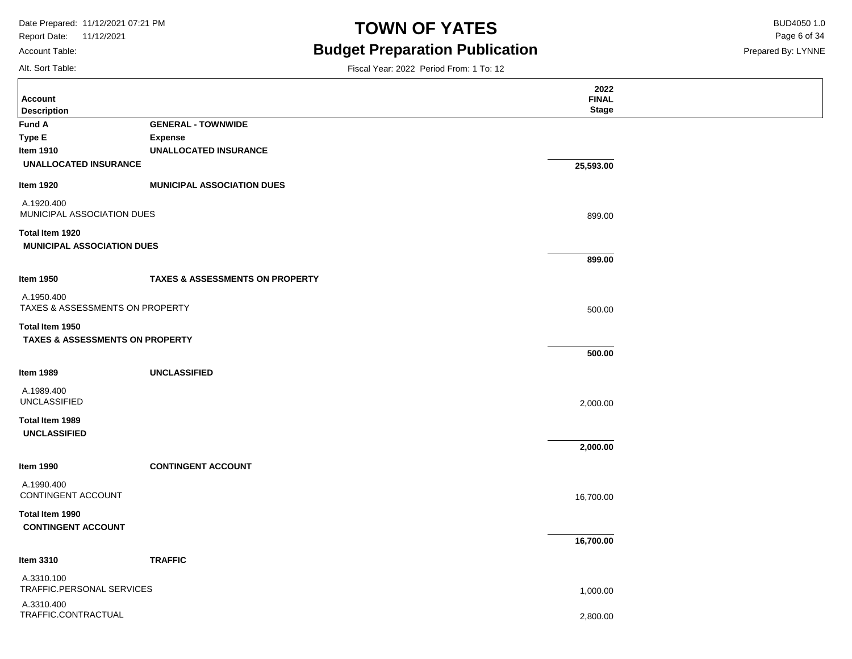Report Date: 11/12/2021 Account Table:

# **TOWN OF YATES** BUD4050 1.0 **Budget Preparation Publication**

Fiscal Year: 2022 Period From: 1 To: 12

Prepared By: LYNNE Page 6 of 34

Alt. Sort Table:

| <b>Account</b><br><b>Description</b>                     |                                            | 2022<br><b>FINAL</b><br><b>Stage</b> |  |
|----------------------------------------------------------|--------------------------------------------|--------------------------------------|--|
| <b>Fund A</b>                                            | <b>GENERAL - TOWNWIDE</b>                  |                                      |  |
| Type E                                                   | <b>Expense</b>                             |                                      |  |
| Item 1910                                                | <b>UNALLOCATED INSURANCE</b>               |                                      |  |
| <b>UNALLOCATED INSURANCE</b>                             |                                            | 25,593.00                            |  |
| Item 1920                                                | <b>MUNICIPAL ASSOCIATION DUES</b>          |                                      |  |
| A.1920.400<br>MUNICIPAL ASSOCIATION DUES                 |                                            | 899.00                               |  |
| Total Item 1920                                          |                                            |                                      |  |
| <b>MUNICIPAL ASSOCIATION DUES</b>                        |                                            |                                      |  |
|                                                          |                                            | 899.00                               |  |
| <b>Item 1950</b>                                         | <b>TAXES &amp; ASSESSMENTS ON PROPERTY</b> |                                      |  |
| A.1950.400<br><b>TAXES &amp; ASSESSMENTS ON PROPERTY</b> |                                            | 500.00                               |  |
| Total Item 1950                                          |                                            |                                      |  |
| <b>TAXES &amp; ASSESSMENTS ON PROPERTY</b>               |                                            |                                      |  |
|                                                          |                                            | 500.00                               |  |
| <b>Item 1989</b>                                         | <b>UNCLASSIFIED</b>                        |                                      |  |
| A.1989.400<br><b>UNCLASSIFIED</b>                        |                                            | 2,000.00                             |  |
| Total Item 1989                                          |                                            |                                      |  |
| <b>UNCLASSIFIED</b>                                      |                                            |                                      |  |
|                                                          |                                            | 2,000.00                             |  |
| <b>Item 1990</b>                                         | <b>CONTINGENT ACCOUNT</b>                  |                                      |  |
| A.1990.400<br>CONTINGENT ACCOUNT                         |                                            | 16,700.00                            |  |
| Total Item 1990<br><b>CONTINGENT ACCOUNT</b>             |                                            |                                      |  |
|                                                          |                                            | 16,700.00                            |  |
| Item 3310                                                | <b>TRAFFIC</b>                             |                                      |  |
| A.3310.100                                               |                                            |                                      |  |
| TRAFFIC.PERSONAL SERVICES                                |                                            | 1,000.00                             |  |
| A.3310.400<br>TRAFFIC.CONTRACTUAL                        |                                            |                                      |  |
|                                                          |                                            | 2,800.00                             |  |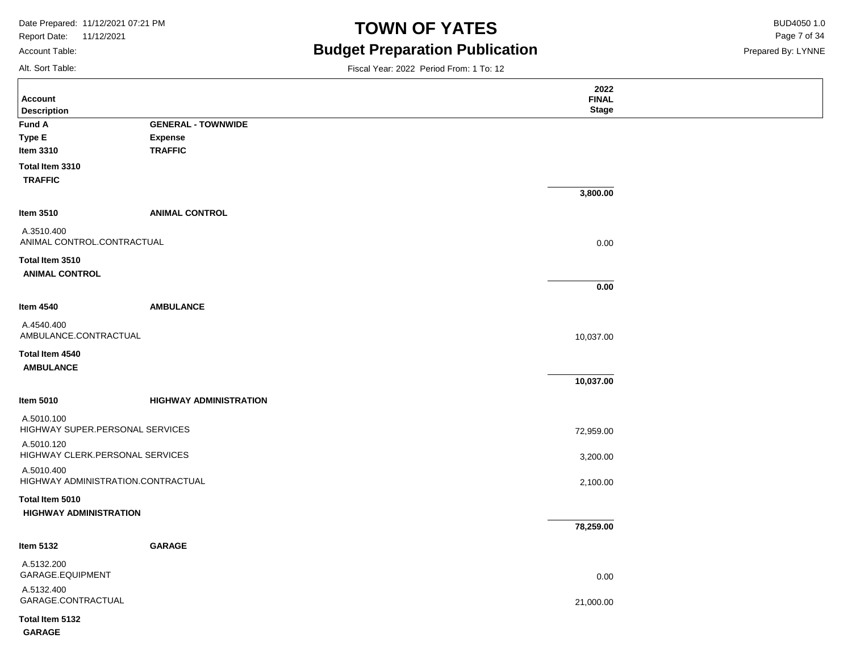Report Date: 11/12/2021 Account Table:

### **TOWN OF YATES** BUD4050 1.0 **Budget Preparation Publication**

Prepared By: LYNNE Page 7 of 34

Alt. Sort Table:

|                                                  |                               | 2022                         |  |
|--------------------------------------------------|-------------------------------|------------------------------|--|
| <b>Account</b><br><b>Description</b>             |                               | <b>FINAL</b><br><b>Stage</b> |  |
| Fund A                                           | <b>GENERAL - TOWNWIDE</b>     |                              |  |
| Type E                                           | <b>Expense</b>                |                              |  |
| Item 3310                                        | <b>TRAFFIC</b>                |                              |  |
| Total Item 3310<br><b>TRAFFIC</b>                |                               |                              |  |
|                                                  |                               | 3,800.00                     |  |
| Item 3510                                        | <b>ANIMAL CONTROL</b>         |                              |  |
| A.3510.400<br>ANIMAL CONTROL.CONTRACTUAL         |                               | 0.00                         |  |
| Total Item 3510                                  |                               |                              |  |
| <b>ANIMAL CONTROL</b>                            |                               | 0.00                         |  |
| Item 4540                                        | <b>AMBULANCE</b>              |                              |  |
| A.4540.400<br>AMBULANCE.CONTRACTUAL              |                               | 10,037.00                    |  |
| Total Item 4540<br><b>AMBULANCE</b>              |                               |                              |  |
|                                                  |                               | 10,037.00                    |  |
| Item 5010                                        | <b>HIGHWAY ADMINISTRATION</b> |                              |  |
| A.5010.100<br>HIGHWAY SUPER.PERSONAL SERVICES    |                               | 72,959.00                    |  |
| A.5010.120<br>HIGHWAY CLERK.PERSONAL SERVICES    |                               | 3,200.00                     |  |
| A.5010.400<br>HIGHWAY ADMINISTRATION.CONTRACTUAL |                               | 2,100.00                     |  |
| Total Item 5010<br><b>HIGHWAY ADMINISTRATION</b> |                               |                              |  |
|                                                  |                               | 78,259.00                    |  |
| Item 5132                                        | <b>GARAGE</b>                 |                              |  |
| A.5132.200<br>GARAGE.EQUIPMENT                   |                               | 0.00                         |  |
| A.5132.400<br>GARAGE.CONTRACTUAL                 |                               | 21,000.00                    |  |
| Total Item 5132<br><b>GARAGE</b>                 |                               |                              |  |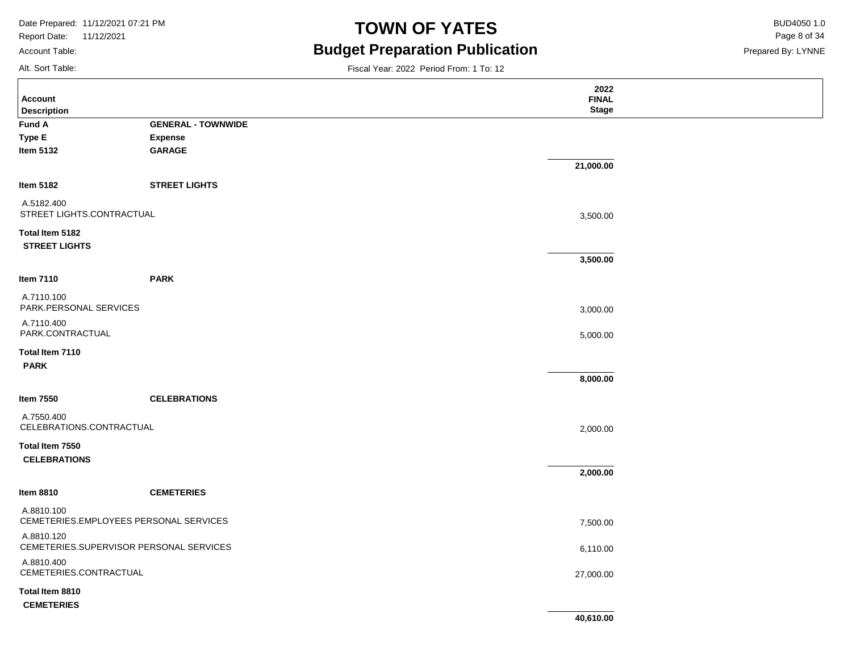Report Date: 11/12/2021 Account Table:

# **TOWN OF YATES** BUD4050 1.0 **Budget Preparation Publication**

Prepared By: LYNNE Page 8 of 34

Alt. Sort Table:

| Account<br><b>Description</b>                         |                           |           | 2022<br><b>FINAL</b><br><b>Stage</b> |
|-------------------------------------------------------|---------------------------|-----------|--------------------------------------|
| <b>Fund A</b>                                         | <b>GENERAL - TOWNWIDE</b> |           |                                      |
| Type E                                                | <b>Expense</b>            |           |                                      |
| <b>Item 5132</b>                                      | <b>GARAGE</b>             |           |                                      |
|                                                       |                           | 21,000.00 |                                      |
| Item 5182                                             | <b>STREET LIGHTS</b>      |           |                                      |
| A.5182.400<br>STREET LIGHTS.CONTRACTUAL               |                           |           | 3,500.00                             |
| Total Item 5182<br><b>STREET LIGHTS</b>               |                           |           |                                      |
|                                                       |                           |           | 3,500.00                             |
| Item 7110                                             | <b>PARK</b>               |           |                                      |
| A.7110.100<br>PARK.PERSONAL SERVICES                  |                           |           | 3,000.00                             |
| A.7110.400<br>PARK.CONTRACTUAL                        |                           |           | 5,000.00                             |
| Total Item 7110<br><b>PARK</b>                        |                           |           |                                      |
|                                                       |                           |           | 8,000.00                             |
| <b>Item 7550</b>                                      | <b>CELEBRATIONS</b>       |           |                                      |
| A.7550.400<br>CELEBRATIONS.CONTRACTUAL                |                           |           | 2,000.00                             |
| Total Item 7550<br><b>CELEBRATIONS</b>                |                           |           |                                      |
|                                                       |                           |           | 2,000.00                             |
| <b>Item 8810</b>                                      | <b>CEMETERIES</b>         |           |                                      |
| A.8810.100<br>CEMETERIES.EMPLOYEES PERSONAL SERVICES  |                           |           | 7,500.00                             |
| A.8810.120<br>CEMETERIES.SUPERVISOR PERSONAL SERVICES |                           |           | 6,110.00                             |
| A.8810.400<br>CEMETERIES.CONTRACTUAL                  |                           |           | 27,000.00                            |
| Total Item 8810                                       |                           |           |                                      |
| <b>CEMETERIES</b>                                     |                           |           |                                      |
|                                                       |                           |           | 40,610.00                            |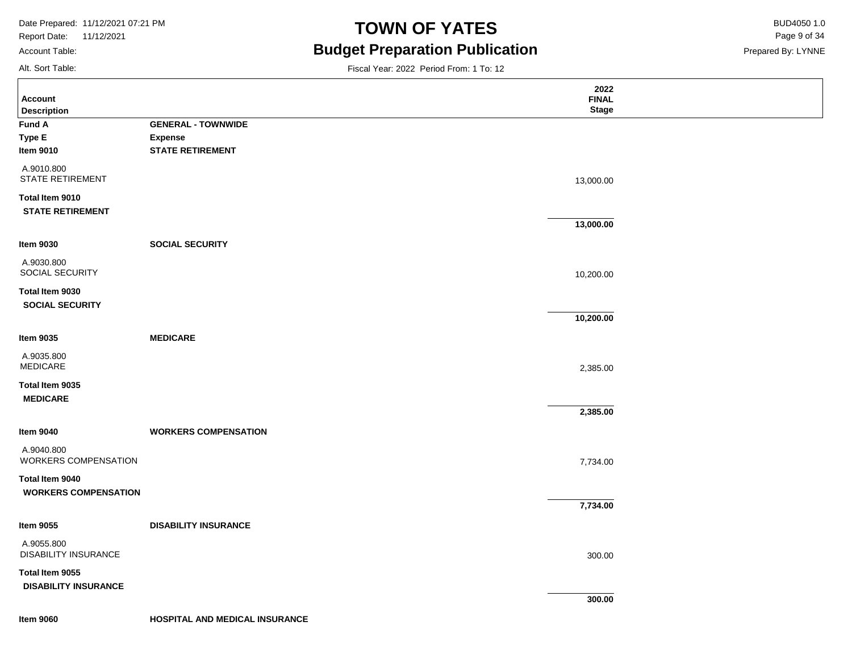Report Date: 11/12/2021 Account Table:

# **TOWN OF YATES** BUD4050 1.0 **Budget Preparation Publication**

Prepared By: LYNNE Page 9 of 34

Alt. Sort Table:

|                                                |                             | 2022         |  |
|------------------------------------------------|-----------------------------|--------------|--|
| <b>Account</b>                                 |                             | <b>FINAL</b> |  |
| <b>Description</b>                             |                             | <b>Stage</b> |  |
| <b>Fund A</b>                                  | <b>GENERAL - TOWNWIDE</b>   |              |  |
| <b>Type E</b>                                  | <b>Expense</b>              |              |  |
| <b>Item 9010</b>                               | <b>STATE RETIREMENT</b>     |              |  |
| A.9010.800<br><b>STATE RETIREMENT</b>          |                             | 13,000.00    |  |
| Total Item 9010<br><b>STATE RETIREMENT</b>     |                             |              |  |
|                                                |                             | 13,000.00    |  |
| <b>Item 9030</b>                               | <b>SOCIAL SECURITY</b>      |              |  |
| A.9030.800<br>SOCIAL SECURITY                  |                             | 10,200.00    |  |
| Total Item 9030<br><b>SOCIAL SECURITY</b>      |                             |              |  |
|                                                |                             | 10,200.00    |  |
| <b>Item 9035</b>                               | <b>MEDICARE</b>             |              |  |
| A.9035.800<br>MEDICARE                         |                             | 2,385.00     |  |
| Total Item 9035<br><b>MEDICARE</b>             |                             |              |  |
|                                                |                             | 2,385.00     |  |
| <b>Item 9040</b>                               | <b>WORKERS COMPENSATION</b> |              |  |
| A.9040.800<br><b>WORKERS COMPENSATION</b>      |                             | 7,734.00     |  |
| Total Item 9040<br><b>WORKERS COMPENSATION</b> |                             |              |  |
|                                                |                             | 7,734.00     |  |
| <b>Item 9055</b>                               | <b>DISABILITY INSURANCE</b> |              |  |
| A.9055.800<br><b>DISABILITY INSURANCE</b>      |                             | 300.00       |  |
| Total Item 9055                                |                             |              |  |
| <b>DISABILITY INSURANCE</b>                    |                             |              |  |
|                                                |                             | 300.00       |  |
|                                                |                             |              |  |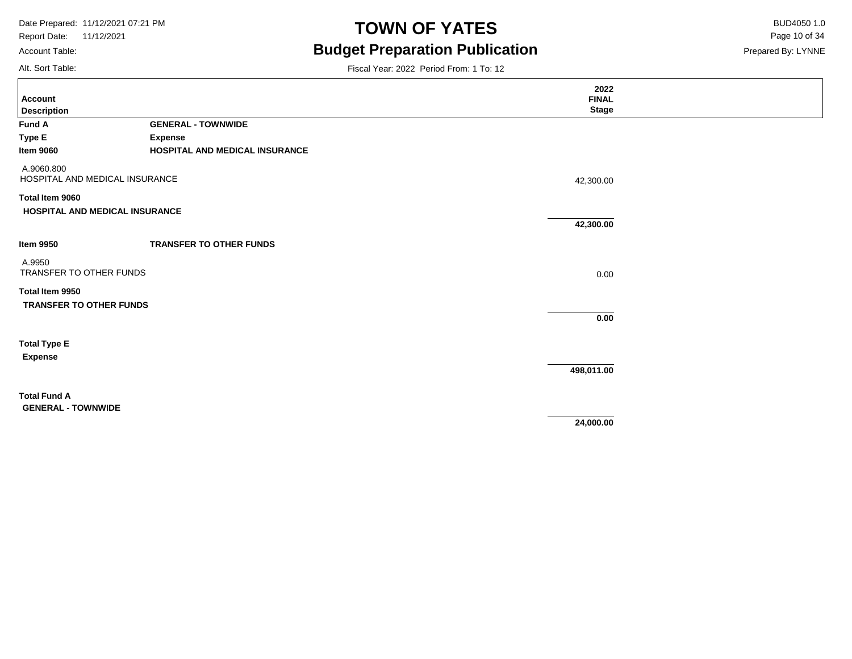Account Table:

Alt. Sort Table:

# **TOWN OF YATES** BUD4050 1.0 **Budget Preparation Publication**

Prepared By: LYNNE Page 10 of 34

| <b>Account</b><br><b>Description</b>         |                                | 2022<br><b>FINAL</b><br><b>Stage</b> |  |
|----------------------------------------------|--------------------------------|--------------------------------------|--|
| Fund A                                       | <b>GENERAL - TOWNWIDE</b>      |                                      |  |
| <b>Type E</b>                                | <b>Expense</b>                 |                                      |  |
| <b>Item 9060</b>                             | HOSPITAL AND MEDICAL INSURANCE |                                      |  |
| A.9060.800<br>HOSPITAL AND MEDICAL INSURANCE |                                | 42,300.00                            |  |
| Total Item 9060                              |                                |                                      |  |
| HOSPITAL AND MEDICAL INSURANCE               |                                | 42,300.00                            |  |
|                                              |                                |                                      |  |
| <b>Item 9950</b>                             | <b>TRANSFER TO OTHER FUNDS</b> |                                      |  |
| A.9950<br>TRANSFER TO OTHER FUNDS            |                                | 0.00                                 |  |
| Total Item 9950                              |                                |                                      |  |
| <b>TRANSFER TO OTHER FUNDS</b>               |                                |                                      |  |
|                                              |                                | 0.00                                 |  |
| <b>Total Type E</b>                          |                                |                                      |  |
| <b>Expense</b>                               |                                |                                      |  |
|                                              |                                | 498,011.00                           |  |
| <b>Total Fund A</b>                          |                                |                                      |  |
| <b>GENERAL - TOWNWIDE</b>                    |                                | 24,000.00                            |  |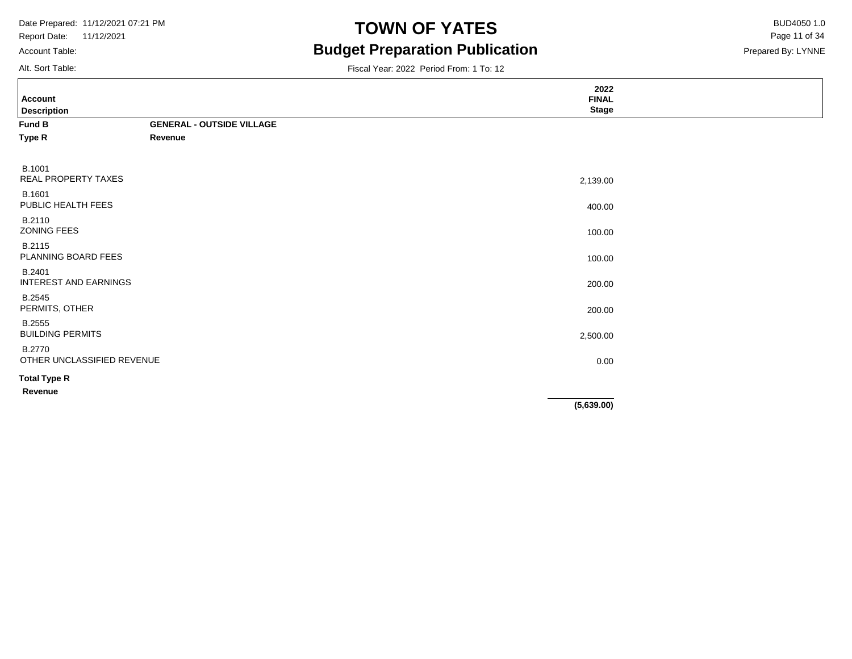Report Date: 11/12/2021 Account Table:

# **TOWN OF YATES** BUD4050 1.0 **Budget Preparation Publication**

Prepared By: LYNNE Page 11 of 34

Alt. Sort Table:

| <b>Account</b>                              |                                  | 2022<br><b>FINAL</b> |  |
|---------------------------------------------|----------------------------------|----------------------|--|
| <b>Description</b>                          |                                  | <b>Stage</b>         |  |
| Fund B                                      | <b>GENERAL - OUTSIDE VILLAGE</b> |                      |  |
| Type R                                      | Revenue                          |                      |  |
| <b>B.1001</b><br>REAL PROPERTY TAXES        |                                  |                      |  |
|                                             |                                  | 2,139.00             |  |
| B.1601<br>PUBLIC HEALTH FEES                |                                  | 400.00               |  |
| B.2110<br>ZONING FEES                       |                                  | 100.00               |  |
| B.2115<br>PLANNING BOARD FEES               |                                  | 100.00               |  |
| B.2401<br>INTEREST AND EARNINGS             |                                  | 200.00               |  |
| <b>B.2545</b><br>PERMITS, OTHER             |                                  | 200.00               |  |
| <b>B.2555</b><br><b>BUILDING PERMITS</b>    |                                  | 2,500.00             |  |
| <b>B.2770</b><br>OTHER UNCLASSIFIED REVENUE |                                  | 0.00                 |  |
| <b>Total Type R</b>                         |                                  |                      |  |
| Revenue                                     |                                  |                      |  |
|                                             |                                  | (5,639.00)           |  |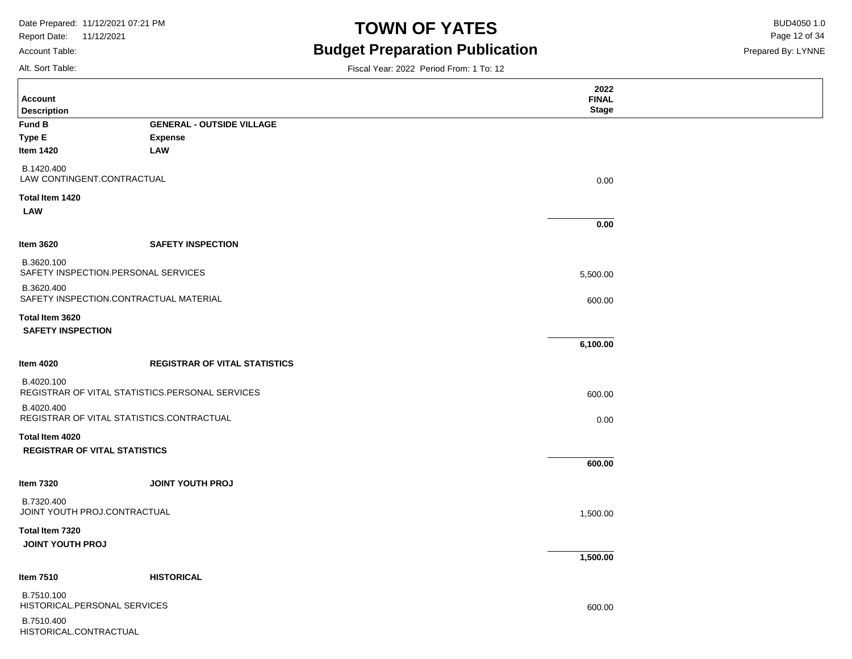Report Date: 11/12/2021 Account Table:

### **TOWN OF YATES** BUD4050 1.0 **Budget Preparation Publication**

Prepared By: LYNNE Page 12 of 34

Alt. Sort Table:

Ē

| <b>Account</b>                                                |                                      | 2022<br><b>FINAL</b> |  |
|---------------------------------------------------------------|--------------------------------------|----------------------|--|
| <b>Description</b>                                            |                                      | <b>Stage</b>         |  |
| <b>Fund B</b>                                                 | <b>GENERAL - OUTSIDE VILLAGE</b>     |                      |  |
| <b>Type E</b>                                                 | <b>Expense</b>                       |                      |  |
| <b>Item 1420</b>                                              | <b>LAW</b>                           |                      |  |
| B.1420.400<br>LAW CONTINGENT.CONTRACTUAL                      |                                      | 0.00                 |  |
| Total Item 1420<br><b>LAW</b>                                 |                                      |                      |  |
|                                                               |                                      | 0.00                 |  |
| <b>Item 3620</b>                                              | <b>SAFETY INSPECTION</b>             |                      |  |
| B.3620.100<br>SAFETY INSPECTION.PERSONAL SERVICES             |                                      | 5,500.00             |  |
| B.3620.400<br>SAFETY INSPECTION.CONTRACTUAL MATERIAL          |                                      | 600.00               |  |
| Total Item 3620                                               |                                      |                      |  |
| <b>SAFETY INSPECTION</b>                                      |                                      | 6,100.00             |  |
| <b>Item 4020</b>                                              | <b>REGISTRAR OF VITAL STATISTICS</b> |                      |  |
| B.4020.100<br>REGISTRAR OF VITAL STATISTICS.PERSONAL SERVICES |                                      | 600.00               |  |
| B.4020.400<br>REGISTRAR OF VITAL STATISTICS.CONTRACTUAL       |                                      | 0.00                 |  |
| Total Item 4020<br><b>REGISTRAR OF VITAL STATISTICS</b>       |                                      |                      |  |
|                                                               |                                      | 600.00               |  |
| <b>Item 7320</b>                                              | <b>JOINT YOUTH PROJ</b>              |                      |  |
| B.7320.400<br>JOINT YOUTH PROJ.CONTRACTUAL                    |                                      | 1,500.00             |  |
| Total Item 7320<br><b>JOINT YOUTH PROJ</b>                    |                                      |                      |  |
|                                                               |                                      | 1,500.00             |  |
| <b>Item 7510</b>                                              | <b>HISTORICAL</b>                    |                      |  |
| B.7510.100<br>HISTORICAL.PERSONAL SERVICES                    |                                      | 600.00               |  |
| B.7510.400<br>HISTORICAL.CONTRACTUAL                          |                                      |                      |  |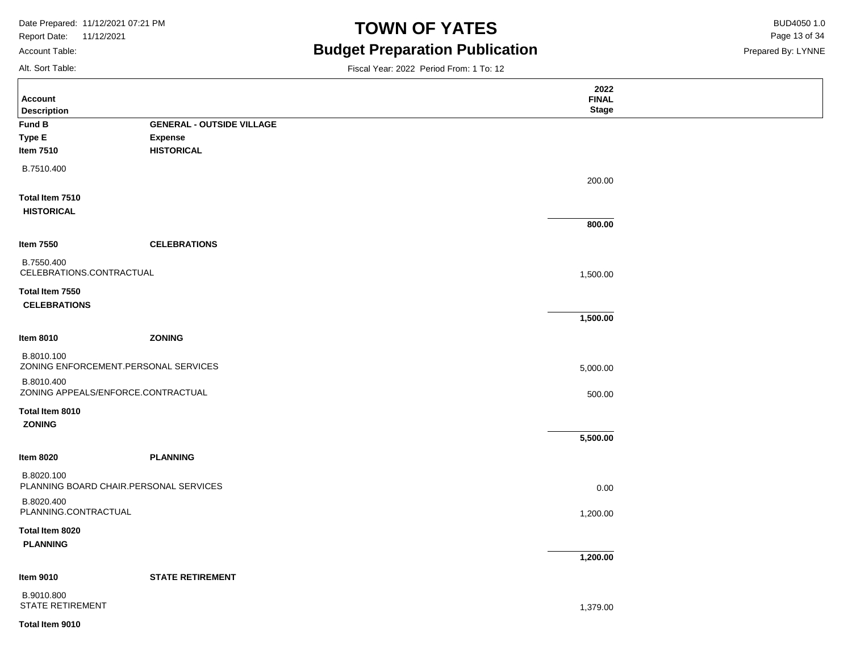Report Date: 11/12/2021 Account Table:

# **TOWN OF YATES** BUD4050 1.0 **Budget Preparation Publication**

Prepared By: LYNNE Page 13 of 34

Alt. Sort Table:

|                                                      |                                  | 2022         |  |
|------------------------------------------------------|----------------------------------|--------------|--|
| <b>Account</b>                                       |                                  | <b>FINAL</b> |  |
| <b>Description</b>                                   |                                  | <b>Stage</b> |  |
| <b>Fund B</b>                                        | <b>GENERAL - OUTSIDE VILLAGE</b> |              |  |
| Type E                                               | <b>Expense</b>                   |              |  |
| <b>Item 7510</b>                                     | <b>HISTORICAL</b>                |              |  |
| B.7510.400                                           |                                  |              |  |
|                                                      |                                  | 200.00       |  |
| Total Item 7510<br><b>HISTORICAL</b>                 |                                  |              |  |
|                                                      |                                  | 800.00       |  |
| <b>Item 7550</b>                                     | <b>CELEBRATIONS</b>              |              |  |
| B.7550.400<br>CELEBRATIONS.CONTRACTUAL               |                                  | 1,500.00     |  |
|                                                      |                                  |              |  |
| Total Item 7550                                      |                                  |              |  |
| <b>CELEBRATIONS</b>                                  |                                  |              |  |
|                                                      |                                  | 1,500.00     |  |
| <b>Item 8010</b>                                     | <b>ZONING</b>                    |              |  |
| B.8010.100<br>ZONING ENFORCEMENT.PERSONAL SERVICES   |                                  | 5,000.00     |  |
| B.8010.400<br>ZONING APPEALS/ENFORCE.CONTRACTUAL     |                                  | 500.00       |  |
| Total Item 8010                                      |                                  |              |  |
| ZONING                                               |                                  |              |  |
|                                                      |                                  | 5,500.00     |  |
| <b>Item 8020</b>                                     | <b>PLANNING</b>                  |              |  |
| B.8020.100<br>PLANNING BOARD CHAIR.PERSONAL SERVICES |                                  | 0.00         |  |
| B.8020.400<br>PLANNING.CONTRACTUAL                   |                                  | 1,200.00     |  |
| Total Item 8020                                      |                                  |              |  |
| <b>PLANNING</b>                                      |                                  |              |  |
|                                                      |                                  | 1,200.00     |  |
| <b>Item 9010</b>                                     | <b>STATE RETIREMENT</b>          |              |  |
| B.9010.800<br><b>STATE RETIREMENT</b>                |                                  | 1,379.00     |  |
| Total Item 9010                                      |                                  |              |  |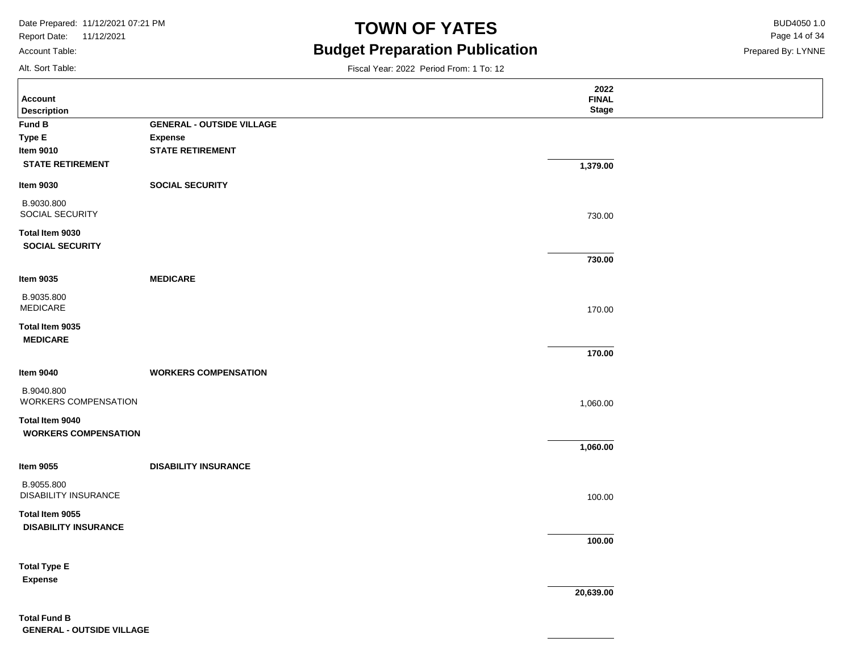Report Date: 11/12/2021 Account Table:

# **TOWN OF YATES** BUD4050 1.0 **Budget Preparation Publication**

Fiscal Year: 2022 Period From: 1 To: 12

Prepared By: LYNNE Page 14 of 34

Alt. Sort Table:

| <b>Account</b>                            |                                  | 2022<br><b>FINAL</b> |  |
|-------------------------------------------|----------------------------------|----------------------|--|
| <b>Description</b>                        |                                  | <b>Stage</b>         |  |
| Fund B                                    | <b>GENERAL - OUTSIDE VILLAGE</b> |                      |  |
| Type E                                    | <b>Expense</b>                   |                      |  |
| <b>Item 9010</b>                          | <b>STATE RETIREMENT</b>          |                      |  |
| <b>STATE RETIREMENT</b>                   |                                  | 1,379.00             |  |
| <b>Item 9030</b>                          | <b>SOCIAL SECURITY</b>           |                      |  |
| B.9030.800<br>SOCIAL SECURITY             |                                  | 730.00               |  |
| Total Item 9030<br><b>SOCIAL SECURITY</b> |                                  |                      |  |
|                                           |                                  | 730.00               |  |
| <b>Item 9035</b>                          | <b>MEDICARE</b>                  |                      |  |
| B.9035.800<br><b>MEDICARE</b>             |                                  | 170.00               |  |
| Total Item 9035<br><b>MEDICARE</b>        |                                  |                      |  |
|                                           |                                  | 170.00               |  |
| <b>Item 9040</b>                          | <b>WORKERS COMPENSATION</b>      |                      |  |
| B.9040.800<br><b>WORKERS COMPENSATION</b> |                                  | 1,060.00             |  |
| Total Item 9040                           |                                  |                      |  |
| <b>WORKERS COMPENSATION</b>               |                                  | 1,060.00             |  |
|                                           |                                  |                      |  |
| <b>Item 9055</b>                          | <b>DISABILITY INSURANCE</b>      |                      |  |
| B.9055.800<br><b>DISABILITY INSURANCE</b> |                                  | 100.00               |  |
| Total Item 9055                           |                                  |                      |  |
| <b>DISABILITY INSURANCE</b>               |                                  |                      |  |
|                                           |                                  | 100.00               |  |
| <b>Total Type E</b>                       |                                  |                      |  |
| <b>Expense</b>                            |                                  |                      |  |
|                                           |                                  | 20,639.00            |  |
|                                           |                                  |                      |  |

**Total Fund B GENERAL - OUTSIDE VILLAGE**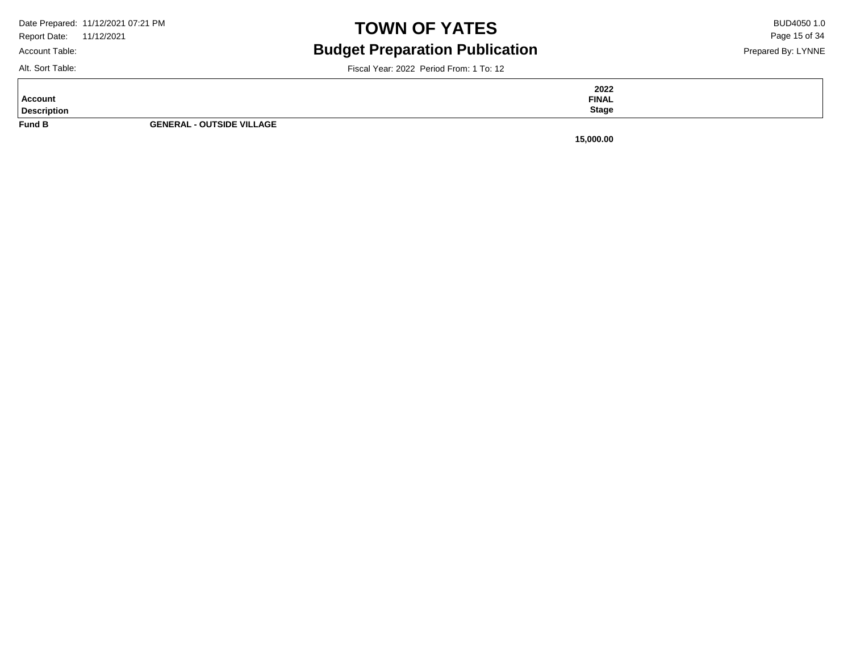Account Table:

# **TOWN OF YATES** BUD4050 1.0 **Budget Preparation Publication**

Prepared By: LYNNE Page 15 of 34

Alt. Sort Table:

|                    |                                  | 2022         |
|--------------------|----------------------------------|--------------|
| Account            |                                  | <b>FINAL</b> |
| <b>Description</b> |                                  | <b>Stage</b> |
| <b>Fund B</b>      | <b>GENERAL - OUTSIDE VILLAGE</b> |              |

Fiscal Year: 2022 Period From: 1 To: 12

**15,000.00**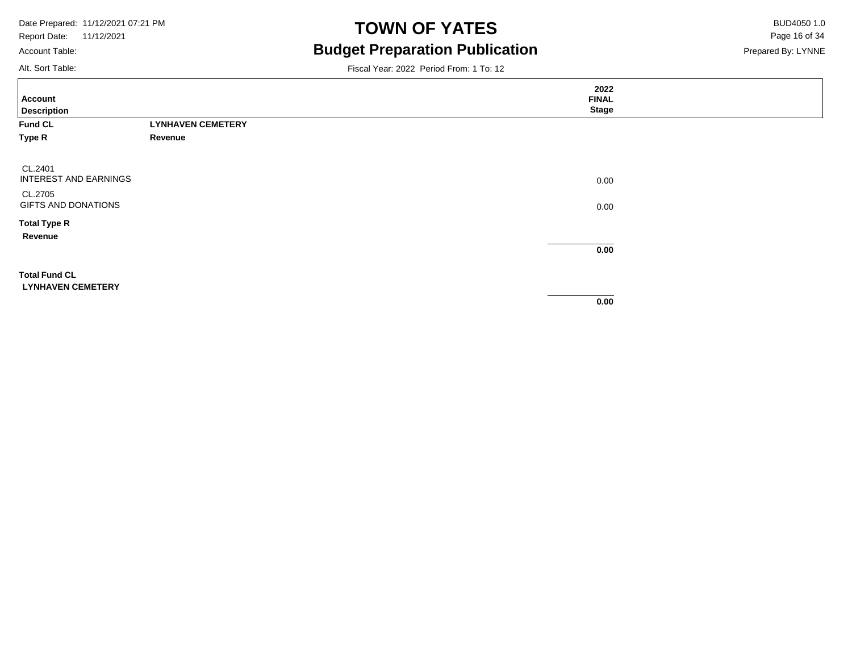Report Date: 11/12/2021 Account Table:

### **TOWN OF YATES** BUD4050 1.0 **Budget Preparation Publication**

Prepared By: LYNNE Page 16 of 34

Alt. Sort Table:

| <b>Account</b><br><b>Description</b>             |                          | 2022<br><b>FINAL</b><br><b>Stage</b> |  |
|--------------------------------------------------|--------------------------|--------------------------------------|--|
| Fund CL                                          | <b>LYNHAVEN CEMETERY</b> |                                      |  |
| Type R                                           | Revenue                  |                                      |  |
| CL.2401<br>INTEREST AND EARNINGS                 |                          | 0.00                                 |  |
| CL.2705<br>GIFTS AND DONATIONS                   |                          | 0.00                                 |  |
| <b>Total Type R</b><br>Revenue                   |                          | 0.00                                 |  |
| <b>Total Fund CL</b><br><b>LYNHAVEN CEMETERY</b> |                          | 0.00                                 |  |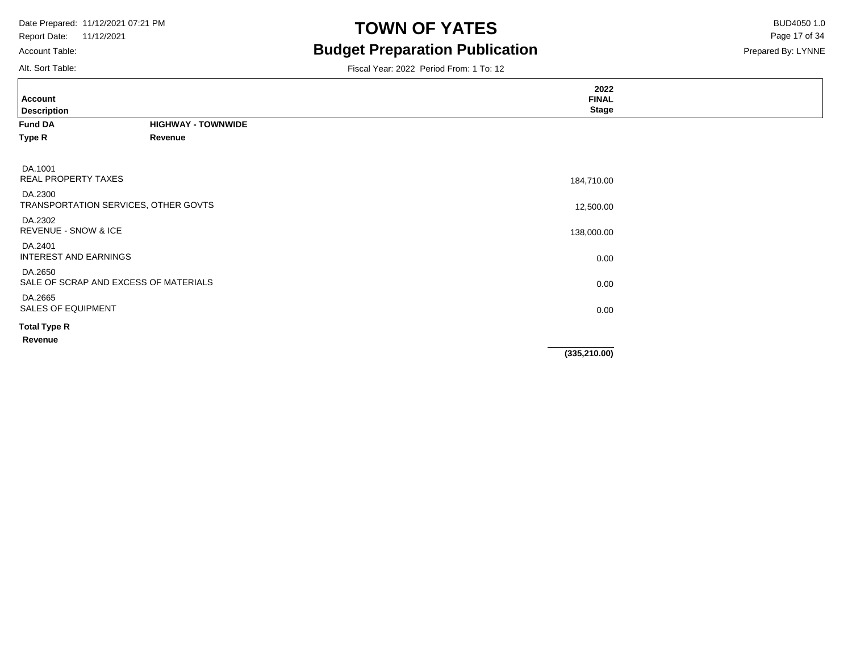Account Table:

# **TOWN OF YATES** BUD4050 1.0 **Budget Preparation Publication**

Prepared By: LYNNE Page 17 of 34

| Alt. Sort Table:                                 |                           | Fiscal Year: 2022 Period From: 1 To: 12 |  |
|--------------------------------------------------|---------------------------|-----------------------------------------|--|
| Account<br><b>Description</b>                    |                           | 2022<br><b>FINAL</b><br><b>Stage</b>    |  |
| <b>Fund DA</b>                                   | <b>HIGHWAY - TOWNWIDE</b> |                                         |  |
| Type R                                           | Revenue                   |                                         |  |
| DA.1001<br><b>REAL PROPERTY TAXES</b>            |                           | 184,710.00                              |  |
| DA.2300<br>TRANSPORTATION SERVICES, OTHER GOVTS  |                           | 12,500.00                               |  |
| DA.2302<br><b>REVENUE - SNOW &amp; ICE</b>       |                           | 138,000.00                              |  |
| DA.2401<br>INTEREST AND EARNINGS                 |                           | 0.00                                    |  |
| DA.2650<br>SALE OF SCRAP AND EXCESS OF MATERIALS |                           | 0.00                                    |  |
| DA.2665<br><b>SALES OF EQUIPMENT</b>             |                           | 0.00                                    |  |
| <b>Total Type R</b>                              |                           |                                         |  |
| Revenue                                          |                           |                                         |  |
|                                                  |                           | (335, 210.00)                           |  |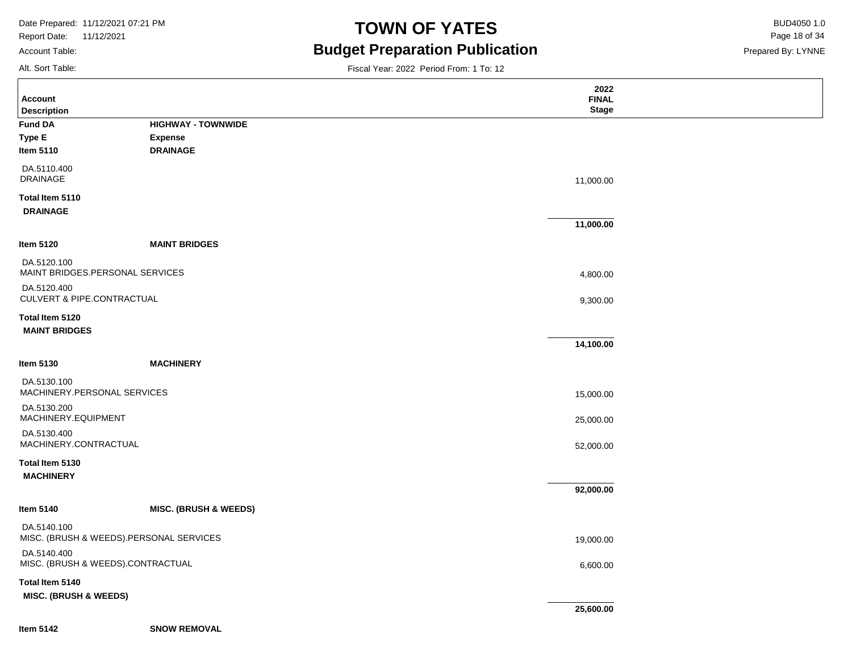Report Date: 11/12/2021 Account Table:

# **TOWN OF YATES** BUD4050 1.0 **Budget Preparation Publication**

Prepared By: LYNNE Page 18 of 34

Alt. Sort Table:

|                                                        |                                  | 2022         |  |
|--------------------------------------------------------|----------------------------------|--------------|--|
| <b>Account</b>                                         |                                  | <b>FINAL</b> |  |
| <b>Description</b>                                     |                                  | <b>Stage</b> |  |
| <b>Fund DA</b>                                         | <b>HIGHWAY - TOWNWIDE</b>        |              |  |
| Type E                                                 | <b>Expense</b>                   |              |  |
| Item 5110                                              | <b>DRAINAGE</b>                  |              |  |
| DA.5110.400                                            |                                  |              |  |
| <b>DRAINAGE</b>                                        |                                  | 11,000.00    |  |
| Total Item 5110                                        |                                  |              |  |
| <b>DRAINAGE</b>                                        |                                  |              |  |
|                                                        |                                  | 11,000.00    |  |
| Item 5120                                              | <b>MAINT BRIDGES</b>             |              |  |
| DA.5120.100                                            |                                  |              |  |
| MAINT BRIDGES.PERSONAL SERVICES                        |                                  | 4,800.00     |  |
| DA.5120.400<br><b>CULVERT &amp; PIPE.CONTRACTUAL</b>   |                                  |              |  |
|                                                        |                                  | 9,300.00     |  |
| Total Item 5120                                        |                                  |              |  |
| <b>MAINT BRIDGES</b>                                   |                                  |              |  |
|                                                        |                                  | 14,100.00    |  |
| Item 5130                                              | <b>MACHINERY</b>                 |              |  |
| DA.5130.100                                            |                                  |              |  |
| MACHINERY.PERSONAL SERVICES                            |                                  | 15,000.00    |  |
| DA.5130.200                                            |                                  |              |  |
| MACHINERY.EQUIPMENT                                    |                                  | 25,000.00    |  |
| DA.5130.400                                            |                                  |              |  |
| MACHINERY.CONTRACTUAL                                  |                                  | 52,000.00    |  |
| Total Item 5130                                        |                                  |              |  |
| <b>MACHINERY</b>                                       |                                  |              |  |
|                                                        |                                  | 92,000.00    |  |
| Item 5140                                              | <b>MISC. (BRUSH &amp; WEEDS)</b> |              |  |
| DA.5140.100<br>MISC. (BRUSH & WEEDS).PERSONAL SERVICES |                                  | 19,000.00    |  |
| DA.5140.400                                            |                                  |              |  |
| MISC. (BRUSH & WEEDS).CONTRACTUAL                      |                                  | 6,600.00     |  |
| Total Item 5140                                        |                                  |              |  |
| <b>MISC. (BRUSH &amp; WEEDS)</b>                       |                                  |              |  |
|                                                        |                                  | 25,600.00    |  |
| <b>Item 5142</b>                                       | <b>SNOW REMOVAL</b>              |              |  |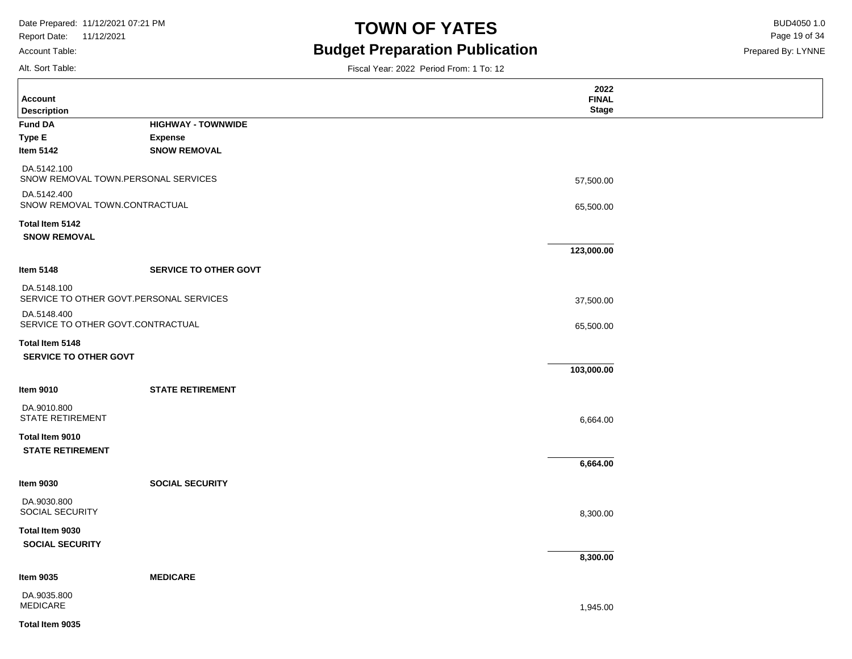Report Date: 11/12/2021

### Account Table:

Alt. Sort Table:

# **TOWN OF YATES** BUD4050 1.0 **Budget Preparation Publication**

Fiscal Year: 2022 Period From: 1 To: 12

Prepared By: LYNNE Page 19 of 34

| <b>Account</b><br><b>Description</b>                   |                              | 2022<br><b>FINAL</b><br><b>Stage</b> |  |
|--------------------------------------------------------|------------------------------|--------------------------------------|--|
| <b>Fund DA</b>                                         | <b>HIGHWAY - TOWNWIDE</b>    |                                      |  |
| <b>Type E</b>                                          | <b>Expense</b>               |                                      |  |
| Item 5142                                              | <b>SNOW REMOVAL</b>          |                                      |  |
| DA.5142.100<br>SNOW REMOVAL TOWN.PERSONAL SERVICES     |                              | 57,500.00                            |  |
| DA.5142.400<br>SNOW REMOVAL TOWN.CONTRACTUAL           |                              | 65,500.00                            |  |
| Total Item 5142<br><b>SNOW REMOVAL</b>                 |                              |                                      |  |
|                                                        |                              | 123,000.00                           |  |
| <b>Item 5148</b>                                       | <b>SERVICE TO OTHER GOVT</b> |                                      |  |
| DA.5148.100<br>SERVICE TO OTHER GOVT.PERSONAL SERVICES |                              | 37,500.00                            |  |
| DA.5148.400<br>SERVICE TO OTHER GOVT.CONTRACTUAL       |                              | 65,500.00                            |  |
| Total Item 5148<br><b>SERVICE TO OTHER GOVT</b>        |                              |                                      |  |
|                                                        |                              | 103,000.00                           |  |
| <b>Item 9010</b>                                       | <b>STATE RETIREMENT</b>      |                                      |  |
| DA.9010.800<br><b>STATE RETIREMENT</b>                 |                              | 6,664.00                             |  |
| Total Item 9010<br><b>STATE RETIREMENT</b>             |                              |                                      |  |
|                                                        |                              | 6,664.00                             |  |
| <b>Item 9030</b>                                       | <b>SOCIAL SECURITY</b>       |                                      |  |
| DA.9030.800<br>SOCIAL SECURITY                         |                              | 8,300.00                             |  |
| Total Item 9030<br><b>SOCIAL SECURITY</b>              |                              |                                      |  |
|                                                        |                              | 8,300.00                             |  |
| <b>Item 9035</b>                                       | <b>MEDICARE</b>              |                                      |  |
| DA.9035.800<br><b>MEDICARE</b>                         |                              | 1,945.00                             |  |

#### **Total Item 9035**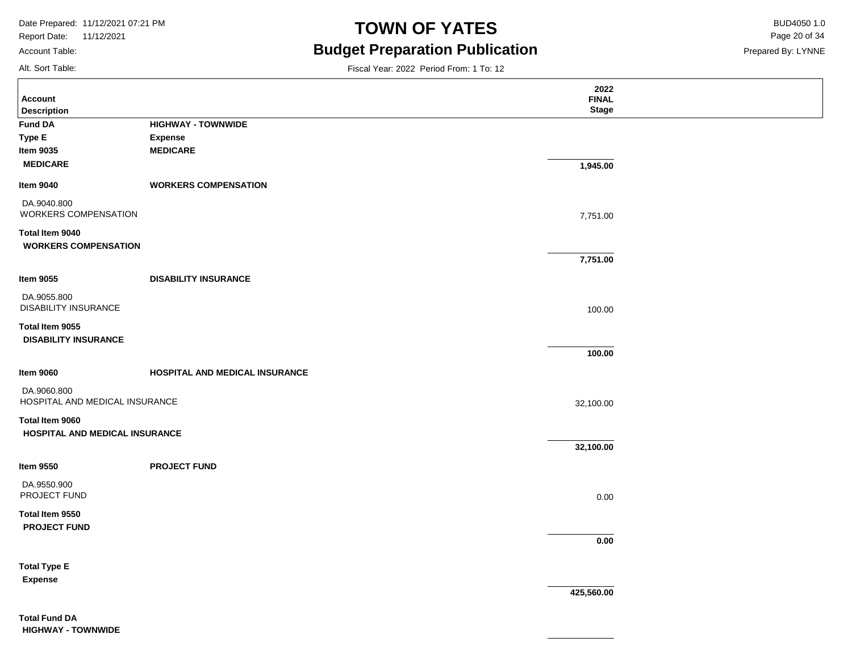Report Date: 11/12/2021 Account Table:

# **TOWN OF YATES** BUD4050 1.0 **Budget Preparation Publication**

Fiscal Year: 2022 Period From: 1 To: 12

Prepared By: LYNNE Page 20 of 34

Alt. Sort Table:

| <b>Account</b><br><b>Description</b>          |                                | 2022<br><b>FINAL</b><br><b>Stage</b> |  |
|-----------------------------------------------|--------------------------------|--------------------------------------|--|
| <b>Fund DA</b>                                | <b>HIGHWAY - TOWNWIDE</b>      |                                      |  |
| Type E                                        | <b>Expense</b>                 |                                      |  |
| <b>Item 9035</b>                              | <b>MEDICARE</b>                |                                      |  |
| <b>MEDICARE</b>                               |                                | 1,945.00                             |  |
| <b>Item 9040</b>                              | <b>WORKERS COMPENSATION</b>    |                                      |  |
| DA.9040.800<br>WORKERS COMPENSATION           |                                | 7,751.00                             |  |
| Total Item 9040                               |                                |                                      |  |
| <b>WORKERS COMPENSATION</b>                   |                                |                                      |  |
|                                               |                                | 7,751.00                             |  |
| <b>Item 9055</b>                              | <b>DISABILITY INSURANCE</b>    |                                      |  |
| DA.9055.800<br><b>DISABILITY INSURANCE</b>    |                                | 100.00                               |  |
| Total Item 9055                               |                                |                                      |  |
| <b>DISABILITY INSURANCE</b>                   |                                |                                      |  |
|                                               |                                | 100.00                               |  |
| <b>Item 9060</b>                              | HOSPITAL AND MEDICAL INSURANCE |                                      |  |
| DA.9060.800<br>HOSPITAL AND MEDICAL INSURANCE |                                | 32,100.00                            |  |
| Total Item 9060                               |                                |                                      |  |
| HOSPITAL AND MEDICAL INSURANCE                |                                |                                      |  |
|                                               |                                | 32,100.00                            |  |
| <b>Item 9550</b>                              | <b>PROJECT FUND</b>            |                                      |  |
| DA.9550.900                                   |                                |                                      |  |
| PROJECT FUND                                  |                                | 0.00                                 |  |
| Total Item 9550                               |                                |                                      |  |
| <b>PROJECT FUND</b>                           |                                |                                      |  |
|                                               |                                | 0.00                                 |  |
| <b>Total Type E</b>                           |                                |                                      |  |
| <b>Expense</b>                                |                                |                                      |  |
|                                               |                                | 425,560.00                           |  |
| <b>Total Fund DA</b>                          |                                |                                      |  |

**HIGHWAY - TOWNWIDE**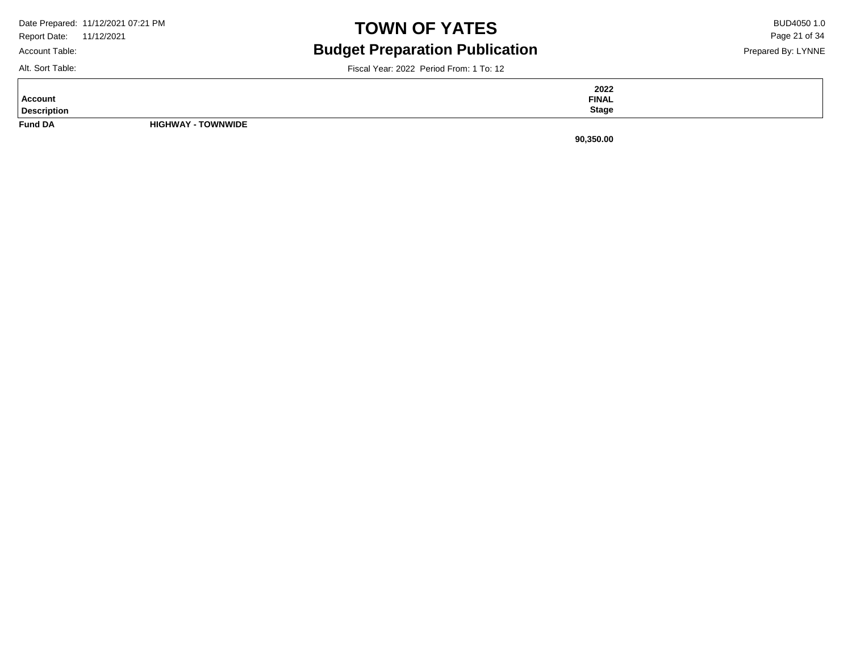|              | Date Prepared: 11/12/2021 07:21 PM |
|--------------|------------------------------------|
| Report Date: | 11/12/2021                         |

Account Table:

# **TOWN OF YATES** BUD4050 1.0 **Budget Preparation Publication**

Prepared By: LYNNE Page 21 of 34

Alt. Sort Table:

Fiscal Year: 2022 Period From: 1 To: 12

**Fund DA HIGHWAY - TOWNWIDE Description Account 2022 FINAL Stage**

**90,350.00**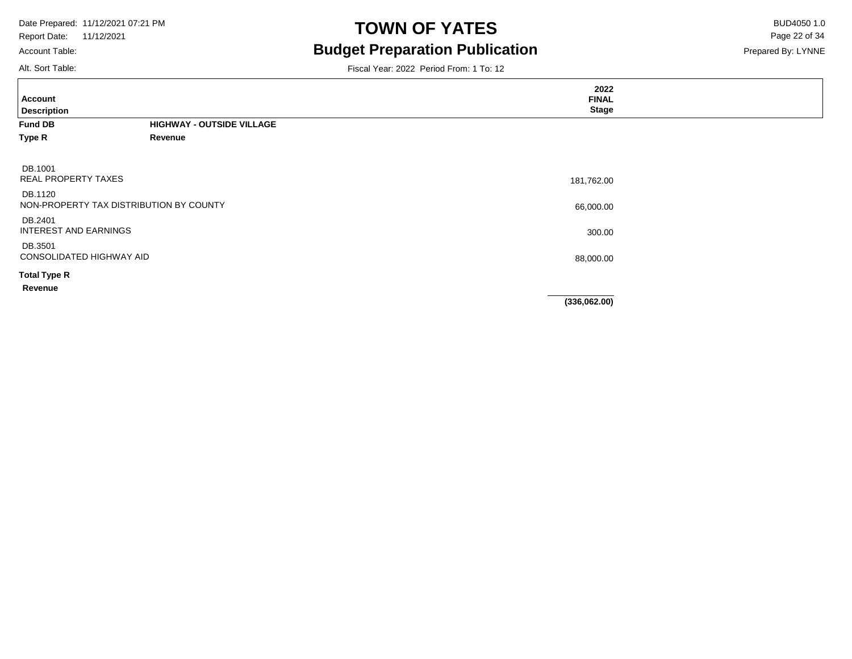Account Table:

# **TOWN OF YATES** BUD4050 1.0 **Budget Preparation Publication**

Prepared By: LYNNE Page 22 of 34

Alt. Sort Table:

| <b>Account</b><br><b>Description</b>               |                                  | 2022<br><b>FINAL</b><br><b>Stage</b> |  |
|----------------------------------------------------|----------------------------------|--------------------------------------|--|
| <b>Fund DB</b>                                     | <b>HIGHWAY - OUTSIDE VILLAGE</b> |                                      |  |
| Type R                                             | Revenue                          |                                      |  |
| DB.1001<br><b>REAL PROPERTY TAXES</b>              |                                  | 181,762.00                           |  |
| DB.1120<br>NON-PROPERTY TAX DISTRIBUTION BY COUNTY |                                  | 66,000.00                            |  |
| DB.2401<br><b>INTEREST AND EARNINGS</b>            |                                  | 300.00                               |  |
| DB.3501<br>CONSOLIDATED HIGHWAY AID                |                                  | 88,000.00                            |  |
| <b>Total Type R</b>                                |                                  |                                      |  |
| Revenue                                            |                                  |                                      |  |
|                                                    |                                  | (336,062.00)                         |  |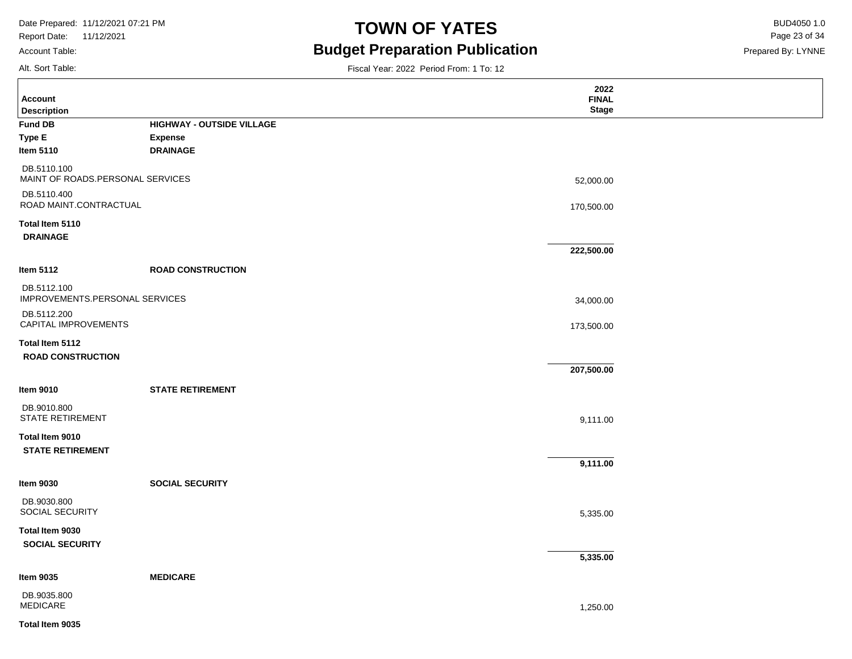Report Date: 11/12/2021 Account Table:

# **TOWN OF YATES** BUD4050 1.0 **Budget Preparation Publication**

Prepared By: LYNNE Page 23 of 34

Alt. Sort Table:

| <b>Account</b>                                  |                           | 2022<br><b>FINAL</b> |  |
|-------------------------------------------------|---------------------------|----------------------|--|
| <b>Description</b>                              |                           | <b>Stage</b>         |  |
| Fund DB                                         | HIGHWAY - OUTSIDE VILLAGE |                      |  |
| Type E                                          | <b>Expense</b>            |                      |  |
| Item 5110                                       | <b>DRAINAGE</b>           |                      |  |
| DB.5110.100<br>MAINT OF ROADS.PERSONAL SERVICES |                           | 52,000.00            |  |
| DB.5110.400<br>ROAD MAINT.CONTRACTUAL           |                           | 170,500.00           |  |
| Total Item 5110<br><b>DRAINAGE</b>              |                           |                      |  |
|                                                 |                           | 222,500.00           |  |
| ltem 5112                                       | <b>ROAD CONSTRUCTION</b>  |                      |  |
| DB.5112.100<br>IMPROVEMENTS.PERSONAL SERVICES   |                           | 34,000.00            |  |
| DB.5112.200<br>CAPITAL IMPROVEMENTS             |                           | 173,500.00           |  |
| Total Item 5112                                 |                           |                      |  |
| <b>ROAD CONSTRUCTION</b>                        |                           |                      |  |
|                                                 |                           | 207,500.00           |  |
| ltem 9010                                       | <b>STATE RETIREMENT</b>   |                      |  |
| DB.9010.800<br><b>STATE RETIREMENT</b>          |                           | 9,111.00             |  |
| Total Item 9010<br><b>STATE RETIREMENT</b>      |                           |                      |  |
|                                                 |                           | 9,111.00             |  |
| Item 9030                                       | <b>SOCIAL SECURITY</b>    |                      |  |
| DB.9030.800<br><b>SOCIAL SECURITY</b>           |                           | 5,335.00             |  |
| Total Item 9030<br><b>SOCIAL SECURITY</b>       |                           |                      |  |
|                                                 |                           | 5,335.00             |  |
| ltem 9035                                       | <b>MEDICARE</b>           |                      |  |
| DB.9035.800<br>MEDICARE                         |                           | 1,250.00             |  |
| Total Item 9035                                 |                           |                      |  |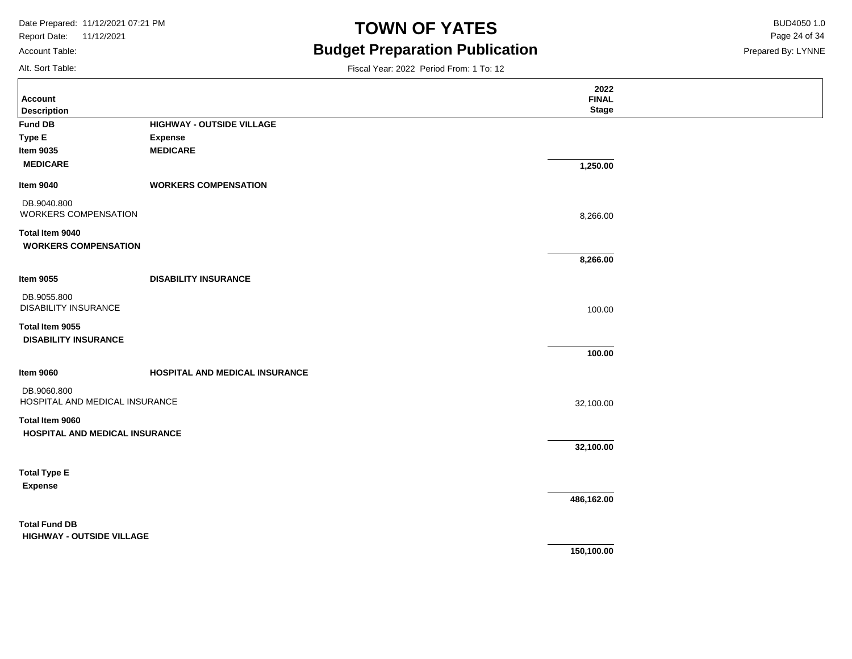Report Date: 11/12/2021 Account Table:

### **TOWN OF YATES** BUD4050 1.0 **Budget Preparation Publication**

Fiscal Year: 2022 Period From: 1 To: 12

Prepared By: LYNNE Page 24 of 34

Alt. Sort Table:

|                                            |                                   | 2022                         |  |
|--------------------------------------------|-----------------------------------|------------------------------|--|
| <b>Account</b><br><b>Description</b>       |                                   | <b>FINAL</b><br><b>Stage</b> |  |
| <b>Fund DB</b>                             | <b>HIGHWAY - OUTSIDE VILLAGE</b>  |                              |  |
|                                            |                                   |                              |  |
| Type E<br><b>Item 9035</b>                 | <b>Expense</b><br><b>MEDICARE</b> |                              |  |
|                                            |                                   |                              |  |
| <b>MEDICARE</b>                            |                                   | 1,250.00                     |  |
| <b>Item 9040</b>                           | <b>WORKERS COMPENSATION</b>       |                              |  |
| DB.9040.800<br>WORKERS COMPENSATION        |                                   | 8,266.00                     |  |
| Total Item 9040                            |                                   |                              |  |
| <b>WORKERS COMPENSATION</b>                |                                   |                              |  |
|                                            |                                   | 8,266.00                     |  |
| <b>Item 9055</b>                           | <b>DISABILITY INSURANCE</b>       |                              |  |
| DB.9055.800<br><b>DISABILITY INSURANCE</b> |                                   |                              |  |
|                                            |                                   | 100.00                       |  |
| Total Item 9055                            |                                   |                              |  |
| <b>DISABILITY INSURANCE</b>                |                                   |                              |  |
|                                            |                                   | 100.00                       |  |
| <b>Item 9060</b>                           | HOSPITAL AND MEDICAL INSURANCE    |                              |  |
| DB.9060.800                                |                                   |                              |  |
| HOSPITAL AND MEDICAL INSURANCE             |                                   | 32,100.00                    |  |
| Total Item 9060                            |                                   |                              |  |
| HOSPITAL AND MEDICAL INSURANCE             |                                   |                              |  |
|                                            |                                   | 32,100.00                    |  |
| <b>Total Type E</b>                        |                                   |                              |  |
|                                            |                                   |                              |  |
| <b>Expense</b>                             |                                   | 486,162.00                   |  |
|                                            |                                   |                              |  |
| <b>Total Fund DB</b>                       |                                   |                              |  |
| <b>HIGHWAY - OUTSIDE VILLAGE</b>           |                                   |                              |  |
|                                            |                                   | 150,100.00                   |  |
|                                            |                                   |                              |  |
|                                            |                                   |                              |  |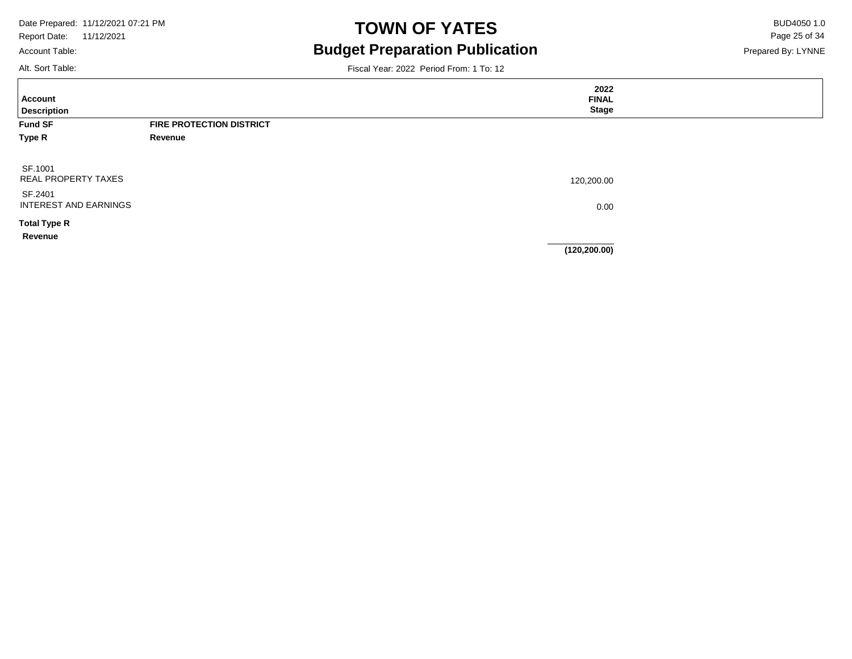Report Date: 11/12/2021 Account Table:

# **TOWN OF YATES** BUD4050 1.0 **Budget Preparation Publication**

Prepared By: LYNNE Page 25 of 34

Alt. Sort Table:

Ē

| <b>Account</b><br><b>Description</b> |                                 | 2022<br><b>FINAL</b><br><b>Stage</b> |  |
|--------------------------------------|---------------------------------|--------------------------------------|--|
| <b>Fund SF</b>                       | <b>FIRE PROTECTION DISTRICT</b> |                                      |  |
| Type R                               | Revenue                         |                                      |  |
|                                      |                                 |                                      |  |
| SF.1001                              |                                 |                                      |  |
| <b>REAL PROPERTY TAXES</b>           |                                 | 120,200.00                           |  |
| SF.2401                              |                                 |                                      |  |
| INTEREST AND EARNINGS                |                                 | 0.00                                 |  |
| <b>Total Type R</b>                  |                                 |                                      |  |
| Revenue                              |                                 |                                      |  |
|                                      |                                 | (120, 200.00)                        |  |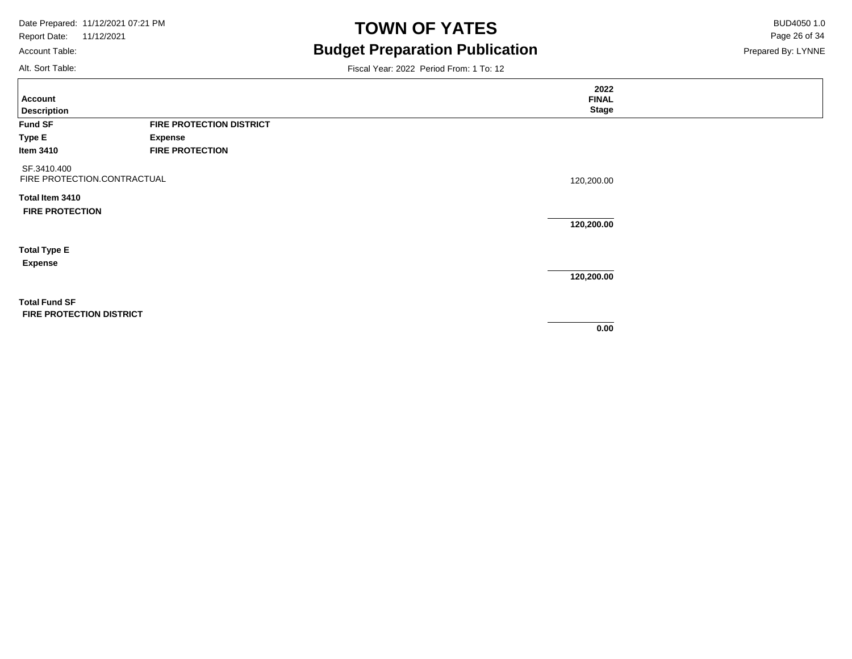Account Table:

Alt. Sort Table:

### **TOWN OF YATES** BUD4050 1.0 **Budget Preparation Publication**

Prepared By: LYNNE Page 26 of 34

| Account<br><b>Description</b>                           |                                 | 2022<br><b>FINAL</b><br><b>Stage</b> |  |
|---------------------------------------------------------|---------------------------------|--------------------------------------|--|
| <b>Fund SF</b>                                          | <b>FIRE PROTECTION DISTRICT</b> |                                      |  |
| Type E                                                  | <b>Expense</b>                  |                                      |  |
| Item 3410                                               | <b>FIRE PROTECTION</b>          |                                      |  |
| SF.3410.400<br>FIRE PROTECTION.CONTRACTUAL              |                                 | 120,200.00                           |  |
| Total Item 3410                                         |                                 |                                      |  |
| <b>FIRE PROTECTION</b>                                  |                                 |                                      |  |
|                                                         |                                 | 120,200.00                           |  |
| <b>Total Type E</b>                                     |                                 |                                      |  |
| <b>Expense</b>                                          |                                 |                                      |  |
|                                                         |                                 | 120,200.00                           |  |
| <b>Total Fund SF</b><br><b>FIRE PROTECTION DISTRICT</b> |                                 |                                      |  |
|                                                         |                                 | 0.00                                 |  |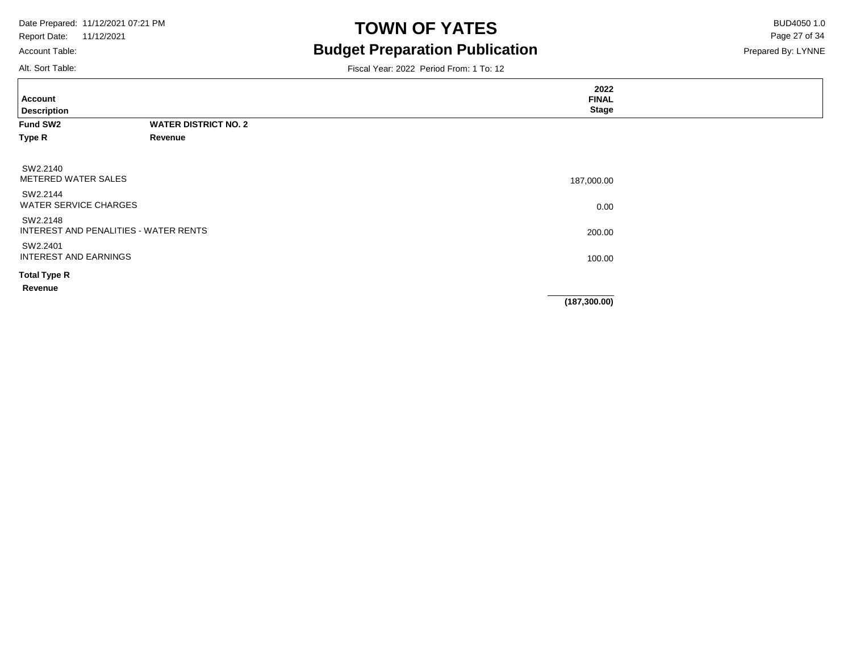Account Table:

### **TOWN OF YATES** BUD4050 1.0 **Budget Preparation Publication**

Prepared By: LYNNE Page 27 of 34

Alt. Sort Table:

| <b>Account</b><br><b>Description</b>     |                                       | 2022<br><b>FINAL</b><br><b>Stage</b> |  |
|------------------------------------------|---------------------------------------|--------------------------------------|--|
| Fund SW2                                 | <b>WATER DISTRICT NO. 2</b>           |                                      |  |
| Type R                                   | Revenue                               |                                      |  |
| SW2.2140<br>METERED WATER SALES          |                                       | 187,000.00                           |  |
| SW2.2144<br><b>WATER SERVICE CHARGES</b> |                                       | 0.00                                 |  |
| SW2.2148                                 | INTEREST AND PENALITIES - WATER RENTS | 200.00                               |  |
| SW2.2401<br><b>INTEREST AND EARNINGS</b> |                                       | 100.00                               |  |
| <b>Total Type R</b>                      |                                       |                                      |  |
| Revenue                                  |                                       |                                      |  |
|                                          |                                       | (187, 300.00)                        |  |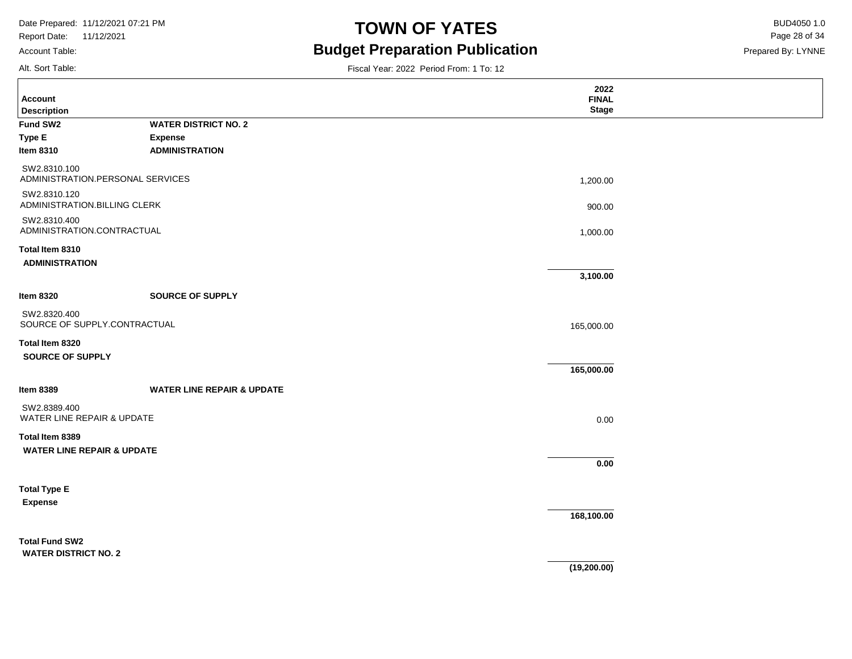Report Date: 11/12/2021 Account Table:

### **TOWN OF YATES** BUD4050 1.0 **Budget Preparation Publication**

Prepared By: LYNNE Page 28 of 34

Alt. Sort Table:

| <b>Account</b>                                           |                                       | 2022<br><b>FINAL</b> |  |
|----------------------------------------------------------|---------------------------------------|----------------------|--|
| <b>Description</b>                                       |                                       | <b>Stage</b>         |  |
| Fund SW2                                                 | <b>WATER DISTRICT NO. 2</b>           |                      |  |
| Type E                                                   | <b>Expense</b>                        |                      |  |
| <b>Item 8310</b>                                         | <b>ADMINISTRATION</b>                 |                      |  |
| SW2.8310.100<br>ADMINISTRATION.PERSONAL SERVICES         |                                       | 1,200.00             |  |
| SW2.8310.120<br>ADMINISTRATION.BILLING CLERK             |                                       | 900.00               |  |
| SW2.8310.400<br>ADMINISTRATION.CONTRACTUAL               |                                       | 1,000.00             |  |
| Total Item 8310<br><b>ADMINISTRATION</b>                 |                                       |                      |  |
|                                                          |                                       | 3,100.00             |  |
| <b>Item 8320</b>                                         | <b>SOURCE OF SUPPLY</b>               |                      |  |
| SW2.8320.400<br>SOURCE OF SUPPLY.CONTRACTUAL             |                                       | 165,000.00           |  |
| Total Item 8320                                          |                                       |                      |  |
| <b>SOURCE OF SUPPLY</b>                                  |                                       |                      |  |
|                                                          |                                       | 165,000.00           |  |
| <b>Item 8389</b>                                         | <b>WATER LINE REPAIR &amp; UPDATE</b> |                      |  |
| SW2.8389.400<br>WATER LINE REPAIR & UPDATE               |                                       | 0.00                 |  |
| Total Item 8389<br><b>WATER LINE REPAIR &amp; UPDATE</b> |                                       |                      |  |
|                                                          |                                       | $0.00\,$             |  |
| <b>Total Type E</b>                                      |                                       |                      |  |
| <b>Expense</b>                                           |                                       |                      |  |
|                                                          |                                       | 168,100.00           |  |
| <b>Total Fund SW2</b>                                    |                                       |                      |  |
| <b>WATER DISTRICT NO. 2</b>                              |                                       |                      |  |
|                                                          |                                       | (19, 200.00)         |  |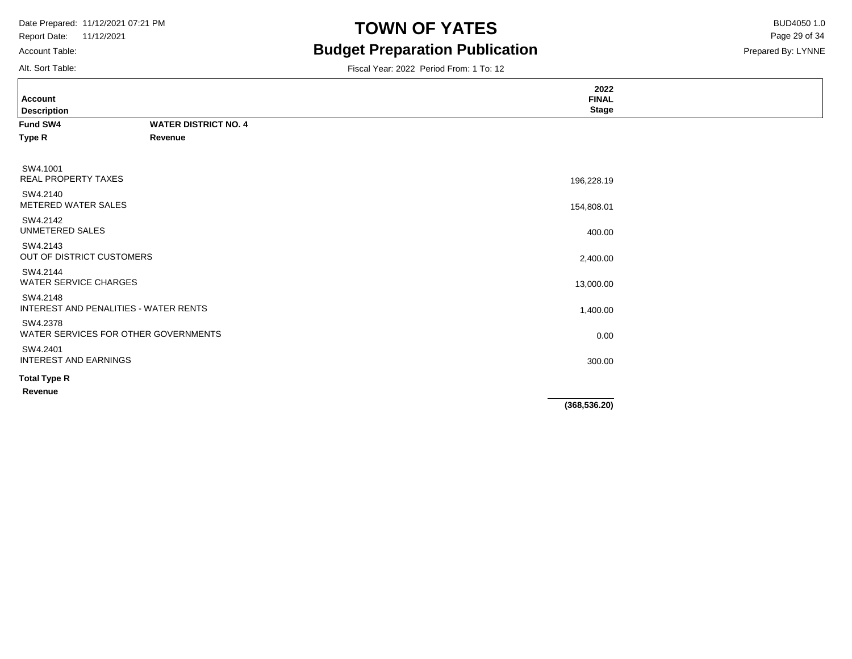Account Table:

### **TOWN OF YATES** BUD4050 1.0 **Budget Preparation Publication**

Prepared By: LYNNE Page 29 of 34

| Alt. Sort Table:                                  |                                      | Fiscal Year: 2022 Period From: 1 To: 12 |  |
|---------------------------------------------------|--------------------------------------|-----------------------------------------|--|
| <b>Account</b><br><b>Description</b>              |                                      | 2022<br><b>FINAL</b><br><b>Stage</b>    |  |
| Fund SW4                                          | <b>WATER DISTRICT NO. 4</b>          |                                         |  |
| Type R                                            | Revenue                              |                                         |  |
| SW4.1001<br><b>REAL PROPERTY TAXES</b>            |                                      | 196,228.19                              |  |
| SW4.2140<br>METERED WATER SALES                   |                                      | 154,808.01                              |  |
| SW4.2142<br>UNMETERED SALES                       |                                      | 400.00                                  |  |
| SW4.2143<br>OUT OF DISTRICT CUSTOMERS             |                                      | 2,400.00                                |  |
| SW4.2144<br><b>WATER SERVICE CHARGES</b>          |                                      | 13,000.00                               |  |
| SW4.2148<br>INTEREST AND PENALITIES - WATER RENTS |                                      | 1,400.00                                |  |
| SW4.2378                                          | WATER SERVICES FOR OTHER GOVERNMENTS | 0.00                                    |  |
| SW4.2401<br><b>INTEREST AND EARNINGS</b>          |                                      | 300.00                                  |  |
| <b>Total Type R</b>                               |                                      |                                         |  |
| Revenue                                           |                                      |                                         |  |
|                                                   |                                      | (368, 536.20)                           |  |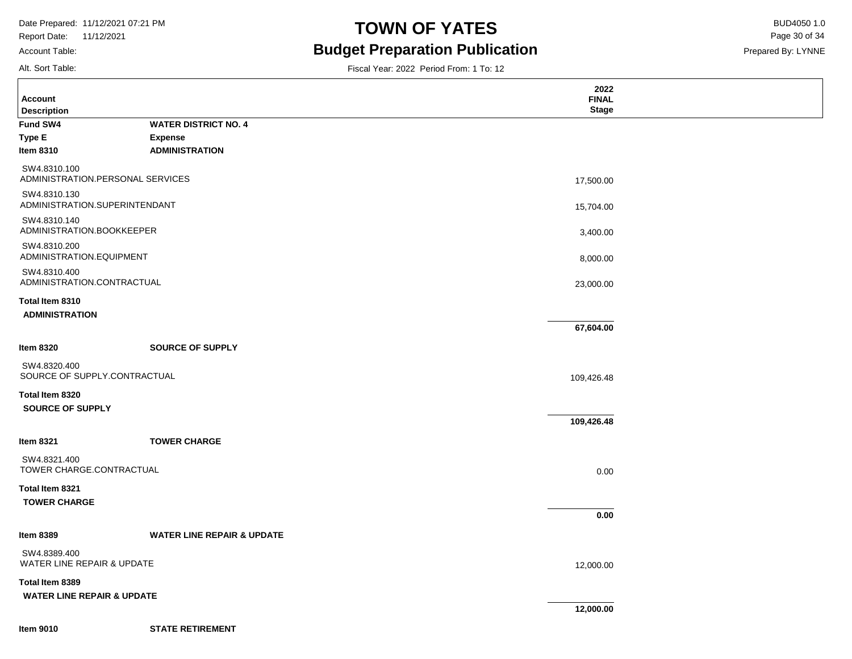Report Date: 11/12/2021 Account Table:

### **TOWN OF YATES** BUD4050 1.0 **Budget Preparation Publication**

Prepared By: LYNNE Page 30 of 34

Alt. Sort Table:

**Description Account**

|  |  | Fiscal Year: 2022 Period From: 1 To: 12 |  |  |
|--|--|-----------------------------------------|--|--|
|  |  |                                         |  |  |

| Fund SW4                                 | <b>WATER DISTRICT NO. 4</b>           |            |
|------------------------------------------|---------------------------------------|------------|
| <b>Type E</b>                            | <b>Expense</b>                        |            |
| <b>Item 8310</b>                         | <b>ADMINISTRATION</b>                 |            |
| SW4.8310.100                             |                                       |            |
| ADMINISTRATION.PERSONAL SERVICES         |                                       | 17,500.00  |
| SW4.8310.130                             |                                       |            |
| ADMINISTRATION.SUPERINTENDANT            |                                       | 15,704.00  |
| SW4.8310.140                             |                                       |            |
| ADMINISTRATION.BOOKKEEPER                |                                       | 3,400.00   |
| SW4.8310.200<br>ADMINISTRATION.EQUIPMENT |                                       |            |
| SW4.8310.400                             |                                       | 8,000.00   |
| ADMINISTRATION.CONTRACTUAL               |                                       | 23,000.00  |
| Total Item 8310                          |                                       |            |
| <b>ADMINISTRATION</b>                    |                                       |            |
|                                          |                                       | 67,604.00  |
|                                          |                                       |            |
| <b>Item 8320</b>                         | <b>SOURCE OF SUPPLY</b>               |            |
| SW4.8320.400                             |                                       |            |
| SOURCE OF SUPPLY.CONTRACTUAL             |                                       | 109,426.48 |
| Total Item 8320                          |                                       |            |
| SOURCE OF SUPPLY                         |                                       |            |
|                                          |                                       | 109,426.48 |
| <b>Item 8321</b>                         | <b>TOWER CHARGE</b>                   |            |
| SW4.8321.400                             |                                       |            |
| TOWER CHARGE.CONTRACTUAL                 |                                       | 0.00       |
| Total Item 8321                          |                                       |            |
| <b>TOWER CHARGE</b>                      |                                       |            |
|                                          |                                       | 0.00       |
| <b>Item 8389</b>                         | <b>WATER LINE REPAIR &amp; UPDATE</b> |            |

SW4.8389.400 WATER LINE REPAIR & UPDATE

**Total Item 8389 WATER LINE REPAIR & UPDATE**

**Item 9010**

**12,000.00**

12,000.00

**2022 FINAL Stage**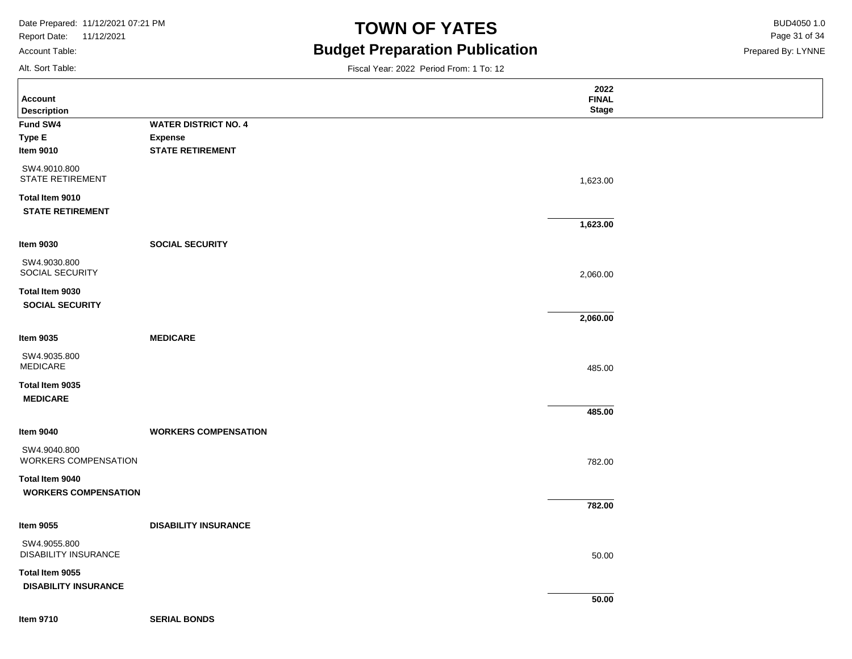Report Date: 11/12/2021

### Account Table:

Alt. Sort Table:

# **TOWN OF YATES** BUD4050 1.0 **Budget Preparation Publication**

Fiscal Year: 2022 Period From: 1 To: 12

Prepared By: LYNNE Page 31 of 34

| <b>Account</b>                                 |                             | 2022<br><b>FINAL</b> |  |
|------------------------------------------------|-----------------------------|----------------------|--|
| <b>Description</b>                             |                             | <b>Stage</b>         |  |
| Fund SW4                                       | <b>WATER DISTRICT NO. 4</b> |                      |  |
| <b>Type E</b>                                  | <b>Expense</b>              |                      |  |
| <b>Item 9010</b>                               | <b>STATE RETIREMENT</b>     |                      |  |
| SW4.9010.800<br><b>STATE RETIREMENT</b>        |                             | 1,623.00             |  |
| Total Item 9010<br><b>STATE RETIREMENT</b>     |                             |                      |  |
|                                                |                             | 1,623.00             |  |
| <b>Item 9030</b>                               | <b>SOCIAL SECURITY</b>      |                      |  |
| SW4.9030.800<br>SOCIAL SECURITY                |                             | 2,060.00             |  |
| Total Item 9030<br><b>SOCIAL SECURITY</b>      |                             |                      |  |
|                                                |                             | 2,060.00             |  |
| <b>Item 9035</b>                               | <b>MEDICARE</b>             |                      |  |
| SW4.9035.800<br><b>MEDICARE</b>                |                             | 485.00               |  |
| Total Item 9035<br><b>MEDICARE</b>             |                             |                      |  |
|                                                |                             | 485.00               |  |
| <b>Item 9040</b>                               | <b>WORKERS COMPENSATION</b> |                      |  |
| SW4.9040.800<br>WORKERS COMPENSATION           |                             | 782.00               |  |
| Total Item 9040<br><b>WORKERS COMPENSATION</b> |                             |                      |  |
|                                                |                             | 782.00               |  |
| <b>Item 9055</b>                               | <b>DISABILITY INSURANCE</b> |                      |  |
| SW4.9055.800<br><b>DISABILITY INSURANCE</b>    |                             | 50.00                |  |
| Total Item 9055                                |                             |                      |  |
| <b>DISABILITY INSURANCE</b>                    |                             |                      |  |
|                                                |                             | 50.00                |  |
|                                                |                             |                      |  |

**Item 9710**

**SERIAL BONDS**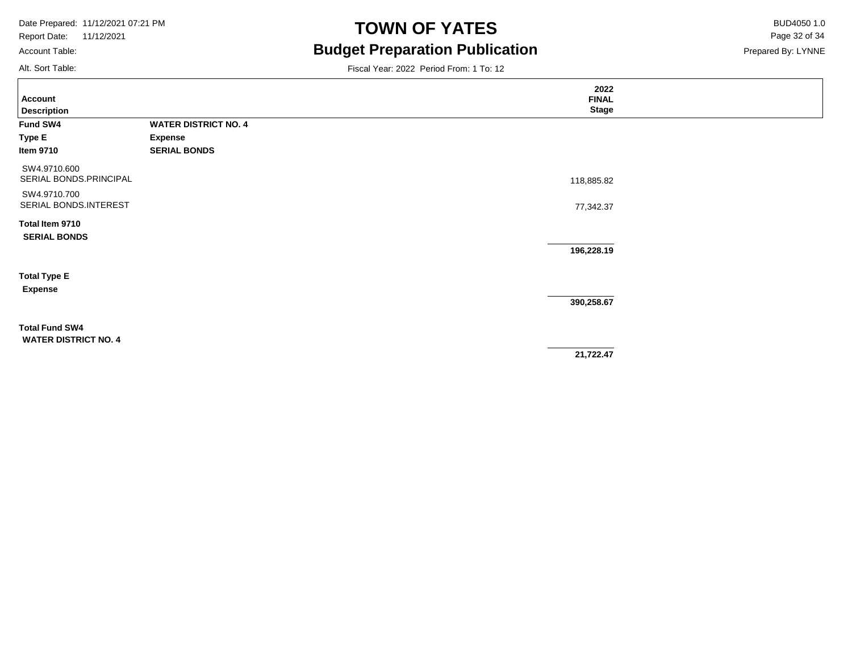Report Date: 11/12/2021

### Account Table:

Alt. Sort Table:

# **TOWN OF YATES** BUD4050 1.0 **Budget Preparation Publication**

Prepared By: LYNNE Page 32 of 34

|                             |                             | 2022         |  |
|-----------------------------|-----------------------------|--------------|--|
| <b>Account</b>              |                             | <b>FINAL</b> |  |
| <b>Description</b>          |                             | <b>Stage</b> |  |
| Fund SW4                    | <b>WATER DISTRICT NO. 4</b> |              |  |
| Type E                      | <b>Expense</b>              |              |  |
| ltem 9710                   | <b>SERIAL BONDS</b>         |              |  |
| SW4.9710.600                |                             |              |  |
| SERIAL BONDS.PRINCIPAL      |                             | 118,885.82   |  |
| SW4.9710.700                |                             |              |  |
| SERIAL BONDS.INTEREST       |                             | 77,342.37    |  |
| Total Item 9710             |                             |              |  |
| <b>SERIAL BONDS</b>         |                             |              |  |
|                             |                             | 196,228.19   |  |
|                             |                             |              |  |
| <b>Total Type E</b>         |                             |              |  |
| <b>Expense</b>              |                             |              |  |
|                             |                             | 390,258.67   |  |
| <b>Total Fund SW4</b>       |                             |              |  |
| <b>WATER DISTRICT NO. 4</b> |                             |              |  |
|                             |                             | 21,722.47    |  |
|                             |                             |              |  |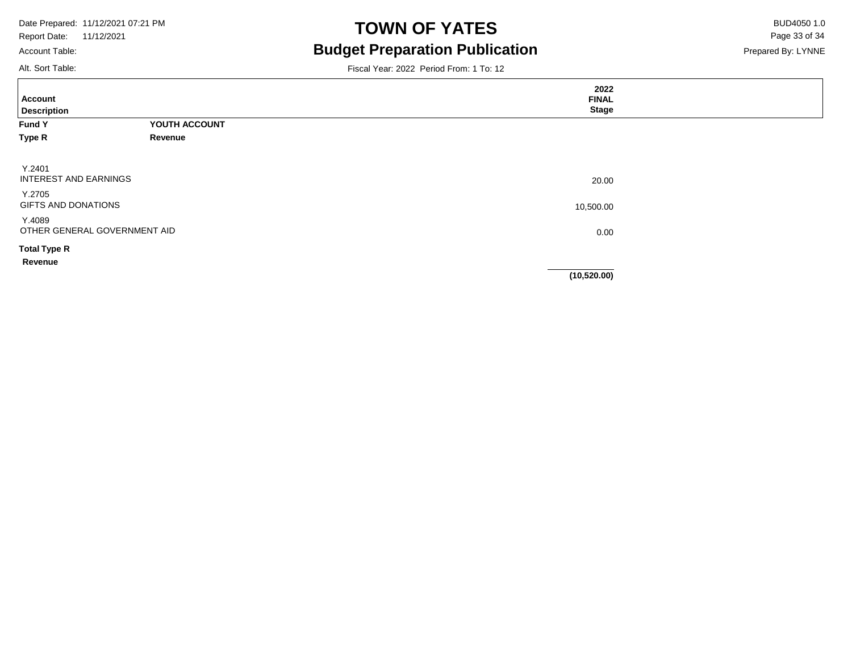Account Table:

# **TOWN OF YATES** BUD4050 1.0 **Budget Preparation Publication**

Fiscal Year: 2022 Period From: 1 To: 12

Prepared By: LYNNE Page 33 of 34

Alt. Sort Table:

| Account<br><b>Description</b>          |                              | 2022<br><b>FINAL</b><br><b>Stage</b> |  |
|----------------------------------------|------------------------------|--------------------------------------|--|
| <b>Fund Y</b>                          | YOUTH ACCOUNT                |                                      |  |
| Type R                                 | Revenue                      |                                      |  |
| Y.2401<br><b>INTEREST AND EARNINGS</b> |                              | 20.00                                |  |
| Y.2705<br>GIFTS AND DONATIONS          |                              | 10,500.00                            |  |
| Y.4089                                 | OTHER GENERAL GOVERNMENT AID | 0.00                                 |  |
| <b>Total Type R</b><br>Revenue         |                              |                                      |  |
|                                        |                              | (10, 520.00)                         |  |